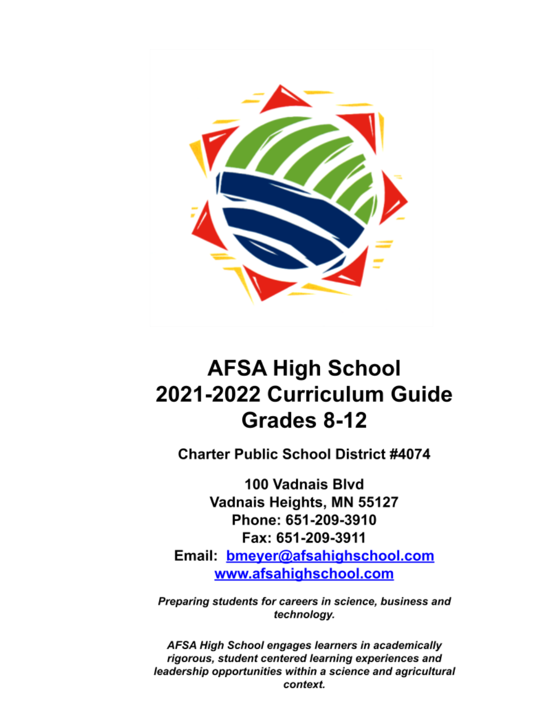

# **AFSA High School** 2021-2022 Curriculum Guide Grades 8-12

**Charter Public School District #4074** 

100 Vadnais Blvd Vadnais Heights, MN 55127 Phone: 651-209-3910 Fax: 651-209-3911 Email: bmeyer@afsahighschool.com www.afsahighschool.com

Preparing students for careers in science, business and technology.

AFSA High School engages learners in academically rigorous, student centered learning experiences and leadership opportunities within a science and agricultural context.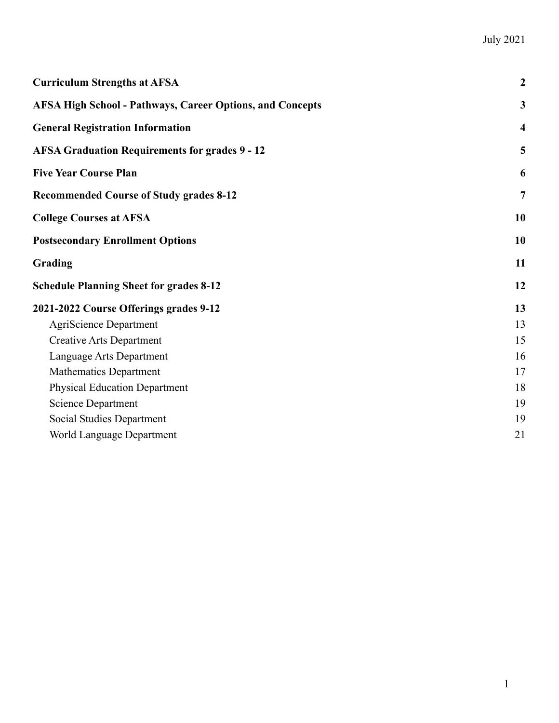| <b>Curriculum Strengths at AFSA</b>                              | $\boldsymbol{2}$        |
|------------------------------------------------------------------|-------------------------|
| <b>AFSA High School - Pathways, Career Options, and Concepts</b> | 3                       |
| <b>General Registration Information</b>                          | $\overline{\mathbf{4}}$ |
| <b>AFSA Graduation Requirements for grades 9 - 12</b>            | 5                       |
| <b>Five Year Course Plan</b>                                     | 6                       |
| <b>Recommended Course of Study grades 8-12</b>                   | $\overline{7}$          |
| <b>College Courses at AFSA</b>                                   | 10                      |
| <b>Postsecondary Enrollment Options</b>                          | 10                      |
| Grading                                                          | 11                      |
| <b>Schedule Planning Sheet for grades 8-12</b>                   | 12                      |
| 2021-2022 Course Offerings grades 9-12                           | 13                      |
| <b>AgriScience Department</b>                                    | 13                      |
| <b>Creative Arts Department</b>                                  | 15                      |
| Language Arts Department                                         | 16                      |
| <b>Mathematics Department</b>                                    | 17                      |
| <b>Physical Education Department</b>                             | 18                      |
| <b>Science Department</b>                                        | 19                      |
| Social Studies Department                                        | 19                      |
| World Language Department                                        | 21                      |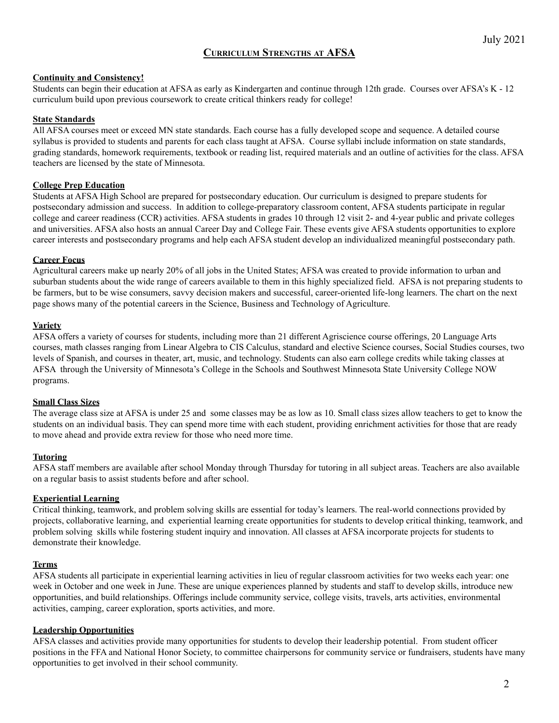# **CURRICULUM STRENGTHS AT AFSA**

#### <span id="page-2-0"></span>**Continuity and Consistency!**

Students can begin their education at AFSA as early as Kindergarten and continue through 12th grade. Courses over AFSA's K - 12 curriculum build upon previous coursework to create critical thinkers ready for college!

#### **State Standards**

All AFSA courses meet or exceed MN state standards. Each course has a fully developed scope and sequence. A detailed course syllabus is provided to students and parents for each class taught at AFSA. Course syllabi include information on state standards, grading standards, homework requirements, textbook or reading list, required materials and an outline of activities for the class. AFSA teachers are licensed by the state of Minnesota.

#### **College Prep Education**

Students at AFSA High School are prepared for postsecondary education. Our curriculum is designed to prepare students for postsecondary admission and success. In addition to college-preparatory classroom content, AFSA students participate in regular college and career readiness (CCR) activities. AFSA students in grades 10 through 12 visit 2- and 4-year public and private colleges and universities. AFSA also hosts an annual Career Day and College Fair. These events give AFSA students opportunities to explore career interests and postsecondary programs and help each AFSA student develop an individualized meaningful postsecondary path.

#### **Career Focus**

Agricultural careers make up nearly 20% of all jobs in the United States; AFSA was created to provide information to urban and suburban students about the wide range of careers available to them in this highly specialized field. AFSA is not preparing students to be farmers, but to be wise consumers, savvy decision makers and successful, career-oriented life-long learners. The chart on the next page shows many of the potential careers in the Science, Business and Technology of Agriculture.

#### **Variety**

AFSA offers a variety of courses for students, including more than 21 different Agriscience course offerings, 20 Language Arts courses, math classes ranging from Linear Algebra to CIS Calculus, standard and elective Science courses, Social Studies courses, two levels of Spanish, and courses in theater, art, music, and technology. Students can also earn college credits while taking classes at AFSA through the University of Minnesota's College in the Schools and Southwest Minnesota State University College NOW programs.

#### **Small Class Sizes**

The average class size at AFSA is under 25 and some classes may be as low as 10. Small class sizes allow teachers to get to know the students on an individual basis. They can spend more time with each student, providing enrichment activities for those that are ready to move ahead and provide extra review for those who need more time.

# **Tutoring**

AFSA staff members are available after school Monday through Thursday for tutoring in all subject areas. Teachers are also available on a regular basis to assist students before and after school.

# **Experiential Learning**

Critical thinking, teamwork, and problem solving skills are essential for today's learners. The real-world connections provided by projects, collaborative learning, and experiential learning create opportunities for students to develop critical thinking, teamwork, and problem solving skills while fostering student inquiry and innovation. All classes at AFSA incorporate projects for students to demonstrate their knowledge.

#### **Terms**

AFSA students all participate in experiential learning activities in lieu of regular classroom activities for two weeks each year: one week in October and one week in June. These are unique experiences planned by students and staff to develop skills, introduce new opportunities, and build relationships. Offerings include community service, college visits, travels, arts activities, environmental activities, camping, career exploration, sports activities, and more.

#### **Leadership Opportunities**

AFSA classes and activities provide many opportunities for students to develop their leadership potential. From student officer positions in the FFA and National Honor Society, to committee chairpersons for community service or fundraisers, students have many opportunities to get involved in their school community.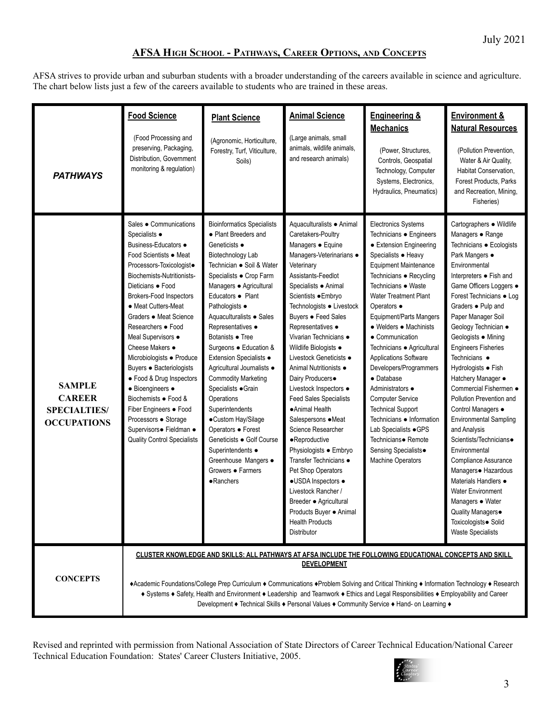# **AFSA HIGH SCHOOL - PATHWAYS, CAREER OPTIONS, AND CONCEPTS**

<span id="page-3-0"></span>AFSA strives to provide urban and suburban students with a broader understanding of the careers available in science and agriculture. The chart below lists just a few of the careers available to students who are trained in these areas.

| <b>PATHWAYS</b>                                                             | <b>Food Science</b><br>(Food Processing and<br>preserving, Packaging,<br>Distribution, Government<br>monitoring & regulation)                                                                                                                                                                                                                                                                                                                                                                                                                                                  | <b>Plant Science</b><br>(Agronomic, Horticulture,<br>Forestry, Turf, Viticulture,<br>Soils)                                                                                                                                                                                                                                                                                                                                                                                                                                                                                                                                     | <b>Animal Science</b><br>(Large animals, small<br>animals, wildlife animals,<br>and research animals)                                                                                                                                                                                                                                                                                                                                                                                                                                                                                                                                                                                                                                                                | <b>Engineering &amp;</b><br><b>Mechanics</b><br>(Power, Structures,<br>Controls, Geospatial<br>Technology, Computer<br>Systems, Electronics,<br>Hydraulics, Pneumatics)                                                                                                                                                                                                                                                                                                                                                                                                                                                     | <b>Environment &amp;</b><br><b>Natural Resources</b><br>(Pollution Prevention,<br>Water & Air Quality,<br>Habitat Conservation,<br>Forest Products, Parks<br>and Recreation, Mining,<br>Fisheries)                                                                                                                                                                                                                                                                                                                                                                                                                                                                                                                                                              |
|-----------------------------------------------------------------------------|--------------------------------------------------------------------------------------------------------------------------------------------------------------------------------------------------------------------------------------------------------------------------------------------------------------------------------------------------------------------------------------------------------------------------------------------------------------------------------------------------------------------------------------------------------------------------------|---------------------------------------------------------------------------------------------------------------------------------------------------------------------------------------------------------------------------------------------------------------------------------------------------------------------------------------------------------------------------------------------------------------------------------------------------------------------------------------------------------------------------------------------------------------------------------------------------------------------------------|----------------------------------------------------------------------------------------------------------------------------------------------------------------------------------------------------------------------------------------------------------------------------------------------------------------------------------------------------------------------------------------------------------------------------------------------------------------------------------------------------------------------------------------------------------------------------------------------------------------------------------------------------------------------------------------------------------------------------------------------------------------------|-----------------------------------------------------------------------------------------------------------------------------------------------------------------------------------------------------------------------------------------------------------------------------------------------------------------------------------------------------------------------------------------------------------------------------------------------------------------------------------------------------------------------------------------------------------------------------------------------------------------------------|-----------------------------------------------------------------------------------------------------------------------------------------------------------------------------------------------------------------------------------------------------------------------------------------------------------------------------------------------------------------------------------------------------------------------------------------------------------------------------------------------------------------------------------------------------------------------------------------------------------------------------------------------------------------------------------------------------------------------------------------------------------------|
| <b>SAMPLE</b><br><b>CAREER</b><br><b>SPECIALTIES/</b><br><b>OCCUPATIONS</b> | Sales · Communications<br>Specialists ●<br>Business-Educators ●<br>Food Scientists ● Meat<br>Processors-Toxicologist.<br>Biochemists-Nutritionists-<br>Dieticians · Food<br><b>Brokers-Food Inspectors</b><br>• Meat Cutters-Meat<br>Graders • Meat Science<br>Researchers • Food<br>Meal Supervisors ·<br>Cheese Makers •<br>Microbiologists · Produce<br>Buyers · Bacteriologists<br>• Food & Drug Inspectors<br>• Bioengineers •<br>Biochemists ● Food &<br>Fiber Engineers · Food<br>Processors · Storage<br>Supervisors· Fieldman ·<br><b>Quality Control Specialists</b> | <b>Bioinformatics Specialists</b><br>• Plant Breeders and<br>Geneticists •<br>Biotechnology Lab<br>Technician ● Soil & Water<br>Specialists · Crop Farm<br>Managers · Agricultural<br>Educators • Plant<br>Pathologists •<br>Aquaculturalists · Sales<br>Representatives ·<br>Botanists • Tree<br>Surgeons · Education &<br>Extension Specialists ·<br>Agricultural Journalists ·<br><b>Commodity Marketing</b><br>Specialists · Grain<br>Operations<br>Superintendents<br>•Custom Hay/Silage<br>Operators · Forest<br>Geneticists ● Golf Course<br>Superintendents ·<br>Greenhouse Mangers ·<br>Growers • Farmers<br>•Ranchers | Aquaculturalists · Animal<br>Caretakers-Poultry<br>Managers · Equine<br>Managers-Veterinarians ·<br>Veterinary<br>Assistants-Feedlot<br>Specialists · Animal<br>Scientists ● Embryo<br>Technologists · Livestock<br>Buyers • Feed Sales<br>Representatives ·<br>Vivarian Technicians ·<br>Wildlife Biologists ·<br>Livestock Geneticists ●<br>Animal Nutritionists ●<br>Dairy Producers <sup>®</sup><br>Livestock Inspectors ·<br><b>Feed Sales Specialists</b><br>•Animal Health<br>Salespersons • Meat<br>Science Researcher<br>·Reproductive<br>Physiologists · Embryo<br>Transfer Technicians •<br>Pet Shop Operators<br>•USDA Inspectors •<br>Livestock Rancher /<br>Breeder · Agricultural<br>Products Buyer ● Animal<br><b>Health Products</b><br>Distributor | Electronics Systems<br>Technicians · Engineers<br>• Extension Engineering<br>Specialists • Heavy<br><b>Equipment Maintenance</b><br>Technicians · Recycling<br>Technicians ● Waste<br><b>Water Treatment Plant</b><br>Operators •<br>Equipment/Parts Mangers<br>• Welders • Machinists<br>• Communication<br>Technicians · Agricultural<br><b>Applications Software</b><br>Developers/Programmers<br>• Database<br>Administrators •<br><b>Computer Service</b><br><b>Technical Support</b><br>Technicians • Information<br>Lab Specialists • GPS<br>Technicians• Remote<br>Sensing Specialists.<br><b>Machine Operators</b> | Cartographers · Wildlife<br>Managers • Range<br>Technicians · Ecologists<br>Park Mangers •<br>Environmental<br>Interpreters . Fish and<br>Game Officers Loggers .<br>Forest Technicians · Log<br>Graders . Pulp and<br>Paper Manager Soil<br>Geology Technician ·<br>Geologists . Mining<br><b>Engineers Fisheries</b><br>Technicians •<br>Hydrologists ● Fish<br>Hatchery Manager ·<br>Commercial Fishermen ·<br>Pollution Prevention and<br>Control Managers ·<br><b>Environmental Sampling</b><br>and Analysis<br>Scientists/Technicians•<br>Environmental<br>Compliance Assurance<br>Managers · Hazardous<br>Materials Handlers •<br><b>Water Environment</b><br>Managers · Water<br>Quality Managers.<br>Toxicologists · Solid<br><b>Waste Specialists</b> |
| <b>CONCEPTS</b>                                                             | CLUSTER KNOWLEDGE AND SKILLS: ALL PATHWAYS AT AFSA INCLUDE THE FOLLOWING EDUCATIONAL CONCEPTS AND SKILL<br><b>DEVELOPMENT</b><br>+Academic Foundations/College Prep Curriculum + Communications +Problem Solving and Critical Thinking + Information Technology + Research<br>+ Systems + Safety, Health and Environment + Leadership and Teamwork + Ethics and Legal Responsibilities + Employability and Career<br>Development ♦ Technical Skills ♦ Personal Values ♦ Community Service ♦ Hand- on Learning ♦                                                                |                                                                                                                                                                                                                                                                                                                                                                                                                                                                                                                                                                                                                                 |                                                                                                                                                                                                                                                                                                                                                                                                                                                                                                                                                                                                                                                                                                                                                                      |                                                                                                                                                                                                                                                                                                                                                                                                                                                                                                                                                                                                                             |                                                                                                                                                                                                                                                                                                                                                                                                                                                                                                                                                                                                                                                                                                                                                                 |

Revised and reprinted with permission from National Association of State Directors of Career Technical Education/National Career Technical Education Foundation: States' Career Clusters Initiative, 2005.

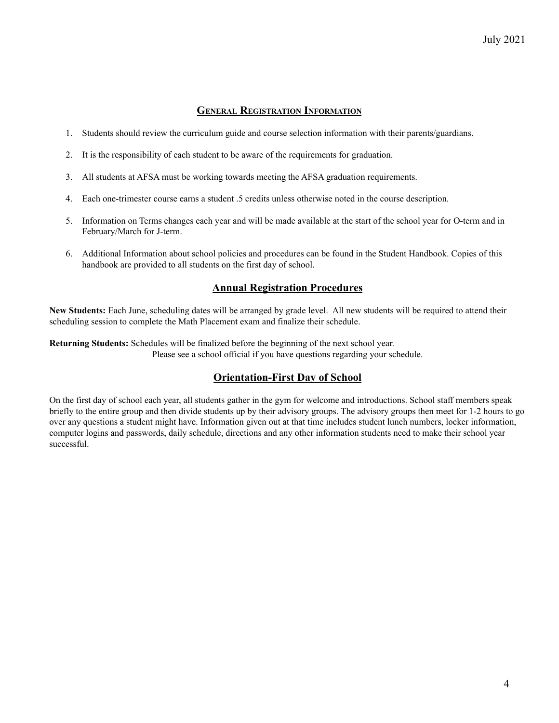# **GENERAL REGISTRATION INFORMATION**

- <span id="page-4-0"></span>1. Students should review the curriculum guide and course selection information with their parents/guardians.
- 2. It is the responsibility of each student to be aware of the requirements for graduation.
- 3. All students at AFSA must be working towards meeting the AFSA graduation requirements.
- 4. Each one-trimester course earns a student .5 credits unless otherwise noted in the course description.
- 5. Information on Terms changes each year and will be made available at the start of the school year for O-term and in February/March for J-term.
- 6. Additional Information about school policies and procedures can be found in the Student Handbook. Copies of this handbook are provided to all students on the first day of school.

# **Annual Registration Procedures**

**New Students:** Each June, scheduling dates will be arranged by grade level. All new students will be required to attend their scheduling session to complete the Math Placement exam and finalize their schedule.

**Returning Students:** Schedules will be finalized before the beginning of the next school year. Please see a school official if you have questions regarding your schedule.

# **Orientation-First Day of School**

On the first day of school each year, all students gather in the gym for welcome and introductions. School staff members speak briefly to the entire group and then divide students up by their advisory groups. The advisory groups then meet for 1-2 hours to go over any questions a student might have. Information given out at that time includes student lunch numbers, locker information, computer logins and passwords, daily schedule, directions and any other information students need to make their school year successful.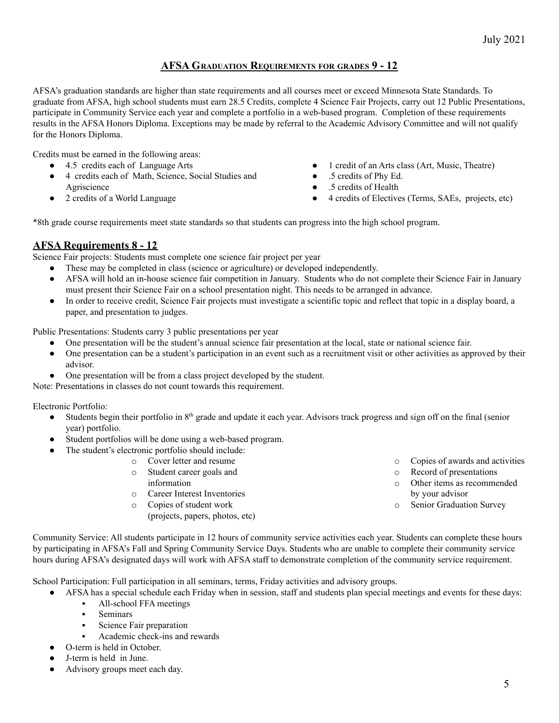# **AFSA GRADUATION REQUIREMENTS FOR GRADES 9 - 12**

<span id="page-5-0"></span>AFSA's graduation standards are higher than state requirements and all courses meet or exceed Minnesota State Standards. To graduate from AFSA, high school students must earn 28.5 Credits, complete 4 Science Fair Projects, carry out 12 Public Presentations, participate in Community Service each year and complete a portfolio in a web-based program. Completion of these requirements results in the AFSA Honors Diploma. Exceptions may be made by referral to the Academic Advisory Committee and will not qualify for the Honors Diploma.

Credits must be earned in the following areas:

- 4.5 credits each of Language Arts
- 4 credits each of Math, Science, Social Studies and Agriscience
- 2 credits of a World Language
- 1 credit of an Arts class (Art, Music, Theatre)
- .5 credits of Phy Ed.
- .5 credits of Health
- 4 credits of Electives (Terms, SAEs, projects, etc)

\*8th grade course requirements meet state standards so that students can progress into the high school program.

# **AFSA Requirements 8 - 12**

Science Fair projects: Students must complete one science fair project per year

- These may be completed in class (science or agriculture) or developed independently.
- AFSA will hold an in-house science fair competition in January. Students who do not complete their Science Fair in January must present their Science Fair on a school presentation night. This needs to be arranged in advance.
- In order to receive credit, Science Fair projects must investigate a scientific topic and reflect that topic in a display board, a paper, and presentation to judges.

Public Presentations: Students carry 3 public presentations per year

- One presentation will be the student's annual science fair presentation at the local, state or national science fair.
- One presentation can be a student's participation in an event such as a recruitment visit or other activities as approved by their advisor.
- One presentation will be from a class project developed by the student.

Note: Presentations in classes do not count towards this requirement.

Electronic Portfolio:

- Students begin their portfolio in  $8<sup>th</sup>$  grade and update it each year. Advisors track progress and sign off on the final (senior year) portfolio.
- Student portfolios will be done using a web-based program.
	- The student's electronic portfolio should include:
	- o Cover letter and resume
		- o Student career goals and
		- information
		- o Career Interest Inventories
		- o Copies of student work
			- (projects, papers, photos, etc)
- o Copies of awards and activities
- o Record of presentations
- o Other items as recommended by your advisor
- o Senior Graduation Survey

Community Service: All students participate in 12 hours of community service activities each year. Students can complete these hours by participating in AFSA's Fall and Spring Community Service Days. Students who are unable to complete their community service hours during AFSA's designated days will work with AFSA staff to demonstrate completion of the community service requirement.

School Participation: Full participation in all seminars, terms, Friday activities and advisory groups.

- AFSA has a special schedule each Friday when in session, staff and students plan special meetings and events for these days: All-school FFA meetings
	- Seminars
	- **•** Science Fair preparation
	- Academic check-ins and rewards
- O-term is held in October.
- J-term is held in June.
- Advisory groups meet each day.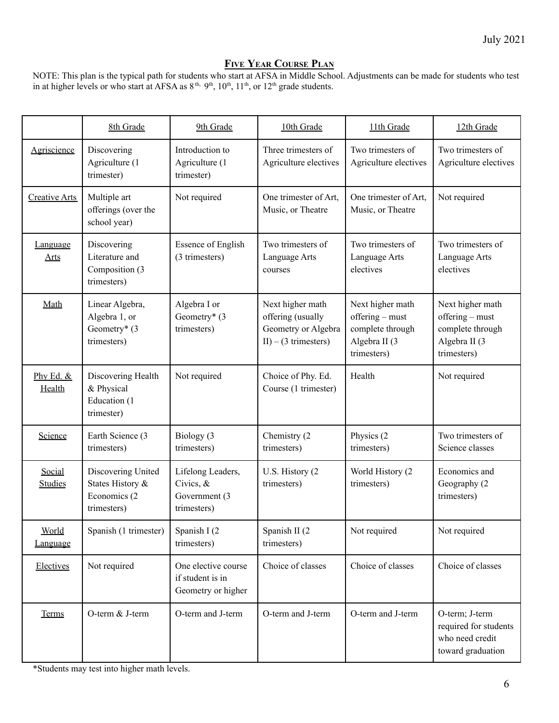# **FIVE YEAR COURSE PLAN**

<span id="page-6-0"></span>NOTE: This plan is the typical path for students who start at AFSA in Middle School. Adjustments can be made for students who test in at higher levels or who start at AFSA as  $8<sup>th</sup>$ ,  $9<sup>th</sup>$ ,  $10<sup>th</sup>$ ,  $11<sup>th</sup>$ , or  $12<sup>th</sup>$  grade students.

|                          | 8th Grade                                                             | 9th Grade                                                      | 10th Grade<br>11th Grade                                                                |                                                                                         | 12th Grade                                                                              |
|--------------------------|-----------------------------------------------------------------------|----------------------------------------------------------------|-----------------------------------------------------------------------------------------|-----------------------------------------------------------------------------------------|-----------------------------------------------------------------------------------------|
| Agriscience              | Discovering<br>Agriculture (1<br>trimester)                           | Introduction to<br>Agriculture (1<br>trimester)                | Three trimesters of<br>Agriculture electives                                            | Two trimesters of<br>Agriculture electives                                              | Two trimesters of<br>Agriculture electives                                              |
| Creative Arts            | Multiple art<br>offerings (over the<br>school year)                   | Not required                                                   | One trimester of Art,<br>Music, or Theatre                                              | One trimester of Art,<br>Music, or Theatre                                              | Not required                                                                            |
| Language<br>Arts         | Discovering<br>Literature and<br>Composition (3<br>trimesters)        | <b>Essence of English</b><br>(3 trimesters)                    | Two trimesters of<br>Language Arts<br>courses                                           | Two trimesters of<br>Language Arts<br>electives                                         | Two trimesters of<br>Language Arts<br>electives                                         |
| Math                     | Linear Algebra,<br>Algebra 1, or<br>Geometry* (3<br>trimesters)       | Algebra I or<br>Geometry* (3<br>trimesters)                    | Next higher math<br>offering (usually<br>Geometry or Algebra<br>$II$ ) – (3 trimesters) | Next higher math<br>offering – must<br>complete through<br>Algebra II (3<br>trimesters) | Next higher math<br>offering - must<br>complete through<br>Algebra II (3<br>trimesters) |
| Phy Ed. &<br>Health      | Discovering Health<br>& Physical<br>Education (1<br>trimester)        | Not required                                                   | Choice of Phy. Ed.<br>Course (1 trimester)                                              | Health                                                                                  | Not required                                                                            |
| Science                  | Earth Science (3<br>trimesters)                                       | Biology (3<br>trimesters)                                      | Chemistry (2)<br>trimesters)                                                            | Physics (2)<br>trimesters)                                                              | Two trimesters of<br>Science classes                                                    |
| Social<br><b>Studies</b> | Discovering United<br>States History &<br>Economics (2<br>trimesters) | Lifelong Leaders,<br>Civics, &<br>Government (3<br>trimesters) | U.S. History (2)<br>trimesters)                                                         | World History (2<br>trimesters)                                                         | Economics and<br>Geography (2<br>trimesters)                                            |
| World<br>anguage         | Spanish (1 trimester)                                                 | Spanish I (2)<br>trimesters)                                   | Spanish II (2)<br>trimesters)                                                           | Not required                                                                            | Not required                                                                            |
| Electives                | Not required                                                          | One elective course<br>if student is in<br>Geometry or higher  | Choice of classes                                                                       | Choice of classes                                                                       | Choice of classes                                                                       |
| Terms                    | O-term & J-term                                                       | O-term and J-term                                              | O-term and J-term                                                                       | O-term and J-term                                                                       | O-term; J-term<br>required for students<br>who need credit<br>toward graduation         |

\*Students may test into higher math levels.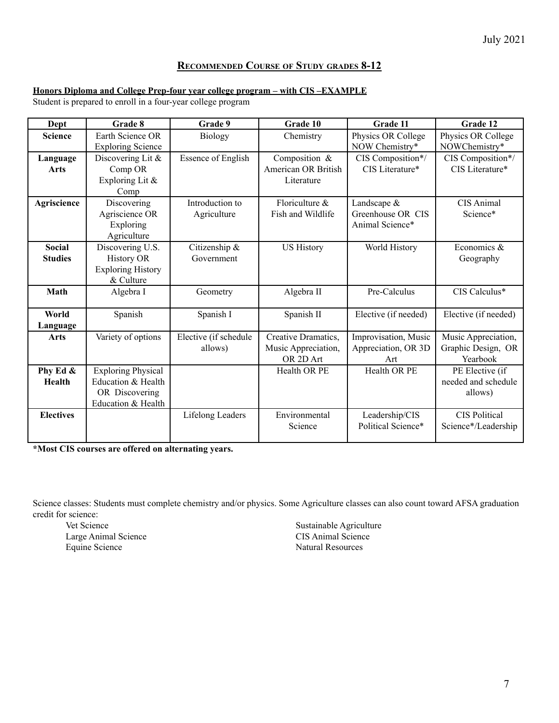# **RECOMMENDED COURSE OF STUDY GRADES 8-12**

# <span id="page-7-0"></span>**Honors Diploma and College Prep-four year college program – with CIS –EXAMPLE**

Student is prepared to enroll in a four-year college program

| Dept                            | Grade 8                                                                                 | Grade 9                          | Grade 10                                                | Grade 11                                              | Grade 12                                              |
|---------------------------------|-----------------------------------------------------------------------------------------|----------------------------------|---------------------------------------------------------|-------------------------------------------------------|-------------------------------------------------------|
| <b>Science</b>                  | Earth Science OR<br><b>Exploring Science</b>                                            | <b>Biology</b>                   | Chemistry                                               | Physics OR College<br>NOW Chemistry*                  | Physics OR College<br>NOWChemistry*                   |
| Language<br>Arts                | Discovering Lit $\&$<br>Comp OR<br>Exploring Lit &<br>Comp                              | <b>Essence of English</b>        | Composition &<br>American OR British<br>Literature      | CIS Composition*/<br>CIS Literature*                  | CIS Composition*/<br>CIS Literature*                  |
| Agriscience                     | Discovering<br>Agriscience OR<br>Exploring<br>Agriculture                               | Introduction to<br>Agriculture   | Floriculture &<br>Fish and Wildlife                     | Landscape $&$<br>Greenhouse OR CIS<br>Animal Science* | <b>CIS Animal</b><br>Science*                         |
| <b>Social</b><br><b>Studies</b> | Discovering U.S.<br><b>History OR</b><br><b>Exploring History</b><br>& Culture          | Citizenship &<br>Government      | <b>US History</b>                                       | World History                                         | Economics $\&$<br>Geography                           |
| Math                            | Algebra I                                                                               | Geometry                         | Algebra II                                              | Pre-Calculus                                          | CIS Calculus*                                         |
| World<br>Language               | Spanish                                                                                 | Spanish I                        | Spanish II                                              | Elective (if needed)                                  | Elective (if needed)                                  |
| Arts                            | Variety of options                                                                      | Elective (if schedule<br>allows) | Creative Dramatics,<br>Music Appreciation,<br>OR 2D Art | Improvisation, Music<br>Appreciation, OR 3D<br>Art    | Music Appreciation,<br>Graphic Design, OR<br>Yearbook |
| Phy Ed &<br><b>Health</b>       | <b>Exploring Physical</b><br>Education & Health<br>OR Discovering<br>Education & Health |                                  | Health OR PE                                            | Health OR PE                                          | PE Elective (if<br>needed and schedule<br>allows)     |
| <b>Electives</b>                |                                                                                         | Lifelong Leaders                 | Environmental<br>Science                                | Leadership/CIS<br>Political Science*                  | <b>CIS Political</b><br>Science*/Leadership           |

**\*Most CIS courses are offered on alternating years.**

Science classes: Students must complete chemistry and/or physics. Some Agriculture classes can also count toward AFSA graduation credit for science:

Vet Science Large Animal Science Equine Science

Sustainable Agriculture CIS Animal Science Natural Resources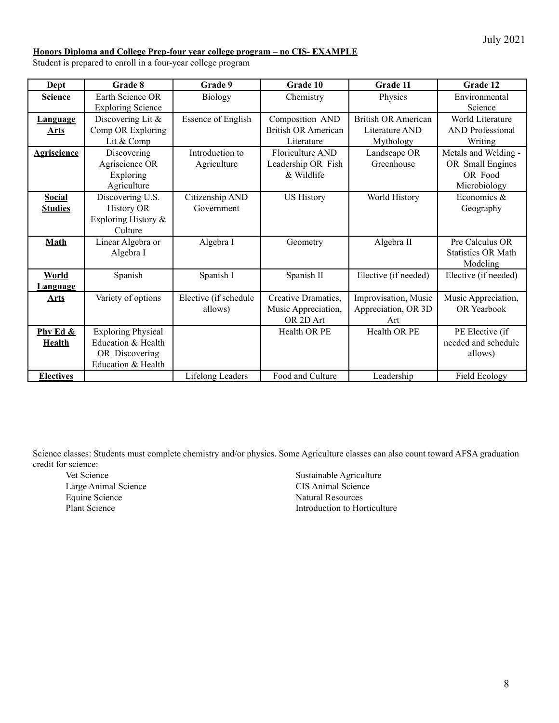#### **Honors Diploma and College Prep-four year college program – no CIS- EXAMPLE**

Student is prepared to enroll in a four-year college program

| Dept               | Grade 8                   | Grade 9                   | Grade 10                   | <b>Grade 11</b>            | Grade 12                  |
|--------------------|---------------------------|---------------------------|----------------------------|----------------------------|---------------------------|
| <b>Science</b>     | Earth Science OR          | <b>Biology</b>            | Chemistry                  | Physics                    | Environmental             |
|                    | <b>Exploring Science</b>  |                           |                            |                            | Science                   |
| <u>Language</u>    | Discovering Lit $\&$      | <b>Essence of English</b> | Composition AND            | <b>British OR American</b> | World Literature          |
| Arts               | Comp OR Exploring         |                           | <b>British OR American</b> | Literature AND             | <b>AND</b> Professional   |
|                    | Lit & Comp                |                           | Literature                 | Mythology                  | Writing                   |
| <b>Agriscience</b> | Discovering               | Introduction to           | Floriculture AND           | Landscape OR               | Metals and Welding -      |
|                    | Agriscience OR            | Agriculture               | Leadership OR Fish         | Greenhouse                 | OR Small Engines          |
|                    | Exploring                 |                           | & Wildlife                 |                            | OR Food                   |
|                    | Agriculture               |                           |                            |                            | Microbiology              |
| <b>Social</b>      | Discovering U.S.          | Citizenship AND           | <b>US History</b>          | World History              | Economics &               |
| <b>Studies</b>     | <b>History OR</b>         | Government                |                            |                            | Geography                 |
|                    | Exploring History &       |                           |                            |                            |                           |
|                    | Culture                   |                           |                            |                            |                           |
| <b>Math</b>        | Linear Algebra or         | Algebra I                 | Algebra II<br>Geometry     |                            | Pre Calculus OR           |
|                    | Algebra I                 |                           |                            |                            | <b>Statistics OR Math</b> |
|                    |                           |                           |                            |                            | Modeling                  |
| <b>World</b>       | Spanish                   | Spanish I                 | Spanish II                 | Elective (if needed)       | Elective (if needed)      |
| <u>Language</u>    |                           |                           |                            |                            |                           |
| <b>Arts</b>        | Variety of options        | Elective (if schedule     | Creative Dramatics,        | Improvisation, Music       | Music Appreciation,       |
|                    |                           | allows)                   | Music Appreciation,        | Appreciation, OR 3D        | <b>OR</b> Yearbook        |
|                    |                           |                           | OR 2D Art                  | Art                        |                           |
| Phy Ed &           | <b>Exploring Physical</b> |                           | Health OR PE               | Health OR PE               | PE Elective (if           |
| <b>Health</b>      | Education & Health        |                           |                            |                            | needed and schedule       |
|                    | OR Discovering            |                           |                            |                            | allows)                   |
|                    | Education & Health        |                           |                            |                            |                           |
| <b>Electives</b>   |                           | Lifelong Leaders          | Food and Culture           | Leadership                 | <b>Field Ecology</b>      |

Science classes: Students must complete chemistry and/or physics. Some Agriculture classes can also count toward AFSA graduation credit for science:

Vet Science Large Animal Science Equine Science Plant Science

Sustainable Agriculture CIS Animal Science Natural Resources Introduction to Horticulture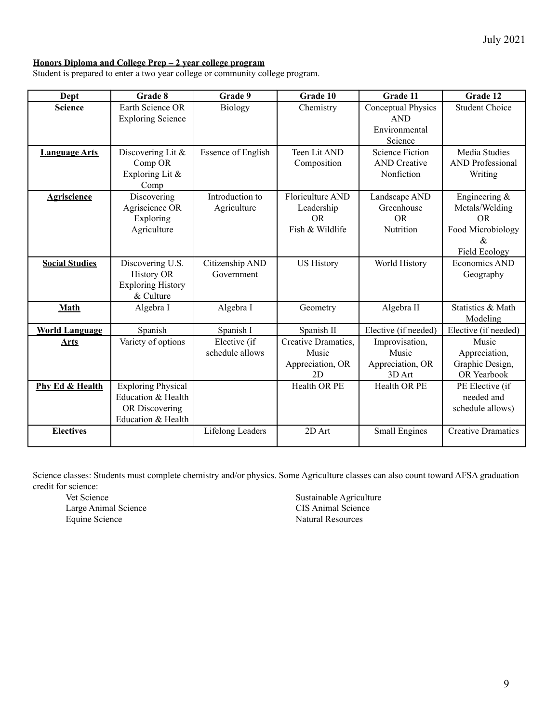# **Honors Diploma and College Prep – 2 year college program**

Student is prepared to enter a two year college or community college program.

| Dept                  | Grade 8                                                                                 | Grade 9                         | Grade 10                                                       | Grade 11                                                            | Grade 12                                                                             |
|-----------------------|-----------------------------------------------------------------------------------------|---------------------------------|----------------------------------------------------------------|---------------------------------------------------------------------|--------------------------------------------------------------------------------------|
| <b>Science</b>        | Earth Science OR<br><b>Exploring Science</b>                                            | <b>Biology</b>                  | Chemistry                                                      | <b>Conceptual Physics</b><br><b>AND</b><br>Environmental<br>Science | <b>Student Choice</b>                                                                |
| <b>Language Arts</b>  | Discovering Lit &<br>Comp OR<br>Exploring Lit &<br>Comp                                 | <b>Essence of English</b>       | Teen Lit AND<br>Composition                                    | <b>Science Fiction</b><br><b>AND</b> Creative<br>Nonfiction         | <b>Media Studies</b><br><b>AND Professional</b><br>Writing                           |
| <b>Agriscience</b>    | Discovering<br>Agriscience OR<br>Exploring<br>Agriculture                               | Introduction to<br>Agriculture  | Floriculture AND<br>Leadership<br><b>OR</b><br>Fish & Wildlife | Landscape AND<br>Greenhouse<br><b>OR</b><br>Nutrition               | Engineering $\&$<br>Metals/Welding<br>OR.<br>Food Microbiology<br>&<br>Field Ecology |
| <b>Social Studies</b> | Discovering U.S.<br><b>History OR</b><br><b>Exploring History</b><br>& Culture          | Citizenship AND<br>Government   | <b>US History</b>                                              | World History                                                       | Economics AND<br>Geography                                                           |
| Math                  | Algebra I                                                                               | Algebra I                       | Geometry                                                       | Algebra II                                                          | Statistics & Math<br>Modeling                                                        |
| <b>World Language</b> | Spanish                                                                                 | Spanish I                       | Spanish II                                                     | Elective (if needed)                                                | Elective (if needed)                                                                 |
| <b>Arts</b>           | Variety of options                                                                      | Elective (if<br>schedule allows | Creative Dramatics,<br>Music<br>Appreciation, OR<br>2D         | Improvisation,<br>Music<br>Appreciation, OR<br>3D Art               | Music<br>Appreciation,<br>Graphic Design,<br>OR Yearbook                             |
| Phy Ed & Health       | <b>Exploring Physical</b><br>Education & Health<br>OR Discovering<br>Education & Health |                                 | Health OR PE                                                   | Health OR PE                                                        | PE Elective (if<br>needed and<br>schedule allows)                                    |
| <b>Electives</b>      |                                                                                         | Lifelong Leaders                | 2D Art                                                         | <b>Small Engines</b>                                                | <b>Creative Dramatics</b>                                                            |

Science classes: Students must complete chemistry and/or physics. Some Agriculture classes can also count toward AFSA graduation credit for science:

Vet Science Large Animal Science Equine Science

Sustainable Agriculture CIS Animal Science Natural Resources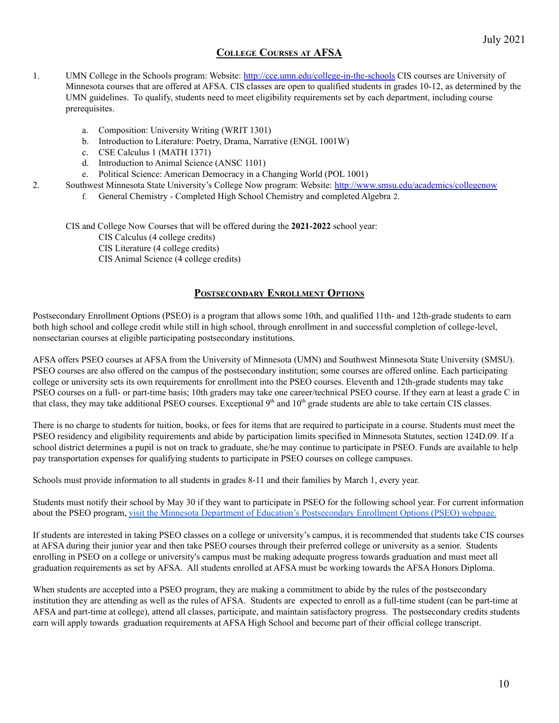# **COLLEGE COURSES AT AFSA**

- <span id="page-10-0"></span>1. UMN College in the Schools program: Website: <http://cce.umn.edu/college-in-the-schools> CIS courses are University of Minnesota courses that are offered at AFSA. CIS classes are open to qualified students in grades 10-12, as determined by the UMN guidelines. To qualify, students need to meet eligibility requirements set by each department, including course prerequisites.
	- a. Composition: University Writing (WRIT 1301)
	- b. Introduction to Literature: Poetry, Drama, Narrative (ENGL 1001W)
	- c. CSE Calculus 1 (MATH 1371)
	- d. Introduction to Animal Science (ANSC 1101)
	- e. Political Science: American Democracy in a Changing World (POL 1001)
- 2. Southwest Minnesota State University's College Now program: Website: <http://www.smsu.edu/academics/collegenow>
	- f. General Chemistry Completed High School Chemistry and completed Algebra 2.

CIS and College Now Courses that will be offered during the **2021-2022** school year:

CIS Calculus (4 college credits)

CIS Literature (4 college credits)

CIS Animal Science (4 college credits)

# **POSTSECONDARY ENROLLMENT OPTIONS**

<span id="page-10-1"></span>Postsecondary Enrollment Options (PSEO) is a program that allows some 10th, and qualified 11th- and 12th-grade students to earn both high school and college credit while still in high school, through enrollment in and successful completion of college-level, nonsectarian courses at eligible participating postsecondary institutions.

AFSA offers PSEO courses at AFSA from the University of Minnesota (UMN) and Southwest Minnesota State University (SMSU). PSEO courses are also offered on the campus of the postsecondary institution; some courses are offered online. Each participating college or university sets its own requirements for enrollment into the PSEO courses. Eleventh and 12th-grade students may take PSEO courses on a full- or part-time basis; 10th graders may take one career/technical PSEO course. If they earn at least a grade C in that class, they may take additional PSEO courses. Exceptional  $9<sup>th</sup>$  and  $10<sup>th</sup>$  grade students are able to take certain CIS classes.

There is no charge to students for tuition, books, or fees for items that are required to participate in a course. Students must meet the PSEO residency and eligibility requirements and abide by participation limits specified in Minnesota Statutes, section 124D.09. If a school district determines a pupil is not on track to graduate, she/he may continue to participate in PSEO. Funds are available to help pay transportation expenses for qualifying students to participate in PSEO courses on college campuses.

Schools must provide information to all students in grades 8-11 and their families by March 1, every year.

Students must notify their school by May 30 if they want to participate in PSEO for the following school year. For current information about the PSEO program, visit the Minnesota Department of Education's [Postsecondary](https://education.mn.gov/MDE/fam/dual/pseo/) Enrollment Options (PSEO) webpage.

If students are interested in taking PSEO classes on a college or university's campus, it is recommended that students take CIS courses at AFSA during their junior year and then take PSEO courses through their preferred college or university as a senior. Students enrolling in PSEO on a college or university's campus must be making adequate progress towards graduation and must meet all graduation requirements as set by AFSA. All students enrolled at AFSA must be working towards the AFSA Honors Diploma.

When students are accepted into a PSEO program, they are making a commitment to abide by the rules of the postsecondary institution they are attending as well as the rules of AFSA. Students are expected to enroll as a full-time student (can be part-time at AFSA and part-time at college), attend all classes, participate, and maintain satisfactory progress. The postsecondary credits students earn will apply towards graduation requirements at AFSA High School and become part of their official college transcript.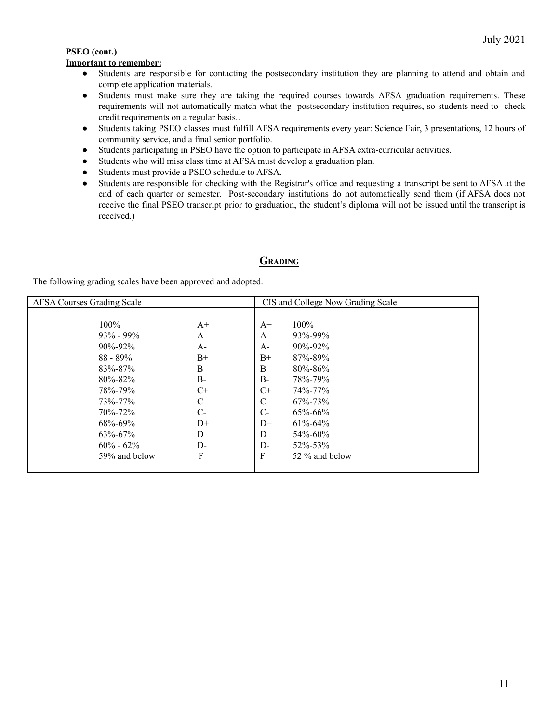# **PSEO (cont.)**

# **Important to remember:**

- Students are responsible for contacting the postsecondary institution they are planning to attend and obtain and complete application materials.
- Students must make sure they are taking the required courses towards AFSA graduation requirements. These requirements will not automatically match what the postsecondary institution requires, so students need to check credit requirements on a regular basis..
- Students taking PSEO classes must fulfill AFSA requirements every year: Science Fair, 3 presentations, 12 hours of community service, and a final senior portfolio.
- Students participating in PSEO have the option to participate in AFSA extra-curricular activities.
- Students who will miss class time at AFSA must develop a graduation plan.
- Students must provide a PSEO schedule to AFSA.
- Students are responsible for checking with the Registrar's office and requesting a transcript be sent to AFSA at the end of each quarter or semester. Post-secondary institutions do not automatically send them (if AFSA does not receive the final PSEO transcript prior to graduation, the student's diploma will not be issued until the transcript is received.)

# **GRADING**

<span id="page-11-0"></span>The following grading scales have been approved and adopted.

| <b>AFSA Courses Grading Scale</b> |       |               | CIS and College Now Grading Scale |  |
|-----------------------------------|-------|---------------|-----------------------------------|--|
|                                   |       |               |                                   |  |
| $100\%$                           | $A^+$ | $A+$          | $100\%$                           |  |
| $93\% - 99\%$                     | A     | A             | 93%-99%                           |  |
| $90\% - 92\%$                     | $A-$  | A-            | $90\% - 92\%$                     |  |
| $88 - 89\%$                       | $B+$  | $B+$          | 87%-89%                           |  |
| 83%-87%                           | B     | B             | $80\% - 86\%$                     |  |
| $80\% - 82\%$                     | B-    | $B-$          | 78%-79%                           |  |
| 78%-79%                           | $C+$  | $C+$          | 74%-77%                           |  |
| 73%-77%                           | C     | $\mathcal{C}$ | $67\% - 73\%$                     |  |
| $70\% - 72\%$                     | $C-$  | $C-$          | $65\% - 66\%$                     |  |
| 68%-69%                           | $D+$  | $D+$          | $61\% - 64\%$                     |  |
| $63\% - 67\%$                     | D     | D             | $54\% - 60\%$                     |  |
| $60\% - 62\%$                     | $D$ - | $D-$          | $52\% - 53\%$                     |  |
| 59% and below                     | F     | F             | 52 % and below                    |  |
|                                   |       |               |                                   |  |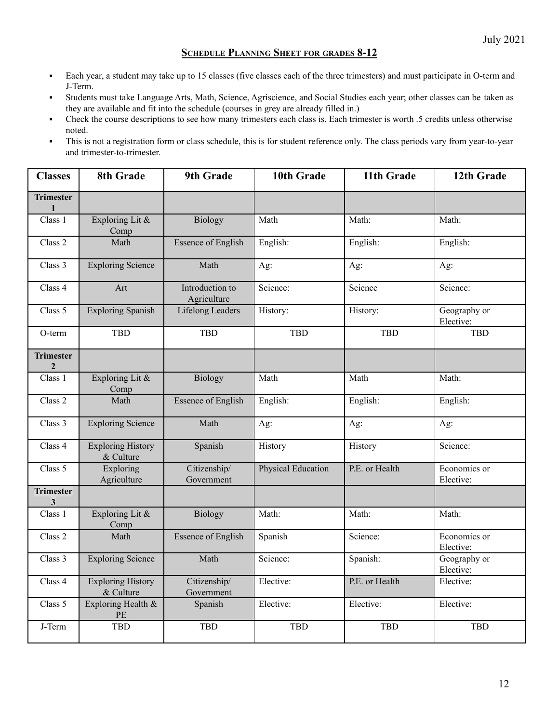# **SCHEDULE PLANNING SHEET FOR GRADES 8-12**

- <span id="page-12-0"></span>▪ Each year, a student may take up to 15 classes (five classes each of the three trimesters) and must participate in O-term and J-Term.
- Students must take Language Arts, Math, Science, Agriscience, and Social Studies each year; other classes can be taken as they are available and fit into the schedule (courses in grey are already filled in.)
- Check the course descriptions to see how many trimesters each class is. Each trimester is worth .5 credits unless otherwise noted.
- This is not a registration form or class schedule, this is for student reference only. The class periods vary from year-to-year and trimester-to-trimester.

| <b>Classes</b>                   | 8th Grade                             | <b>9th Grade</b>               | 10th Grade                | 11th Grade     | 12th Grade                |
|----------------------------------|---------------------------------------|--------------------------------|---------------------------|----------------|---------------------------|
| <b>Trimester</b><br>$\mathbf{1}$ |                                       |                                |                           |                |                           |
| Class 1                          | Exploring Lit &<br>Comp               | <b>Biology</b>                 | Math                      | Math:          | Math:                     |
| Class 2                          | Math                                  | <b>Essence of English</b>      | English:                  | English:       | English:                  |
| Class 3                          | <b>Exploring Science</b>              | Math                           | Ag:                       | Ag:            | Ag:                       |
| Class 4                          | Art                                   | Introduction to<br>Agriculture | Science:                  | Science        | Science:                  |
| Class 5                          | <b>Exploring Spanish</b>              | <b>Lifelong Leaders</b>        | History:                  | History:       | Geography or<br>Elective: |
| O-term                           | <b>TBD</b>                            | <b>TBD</b>                     | <b>TBD</b>                | <b>TBD</b>     | TBD                       |
| <b>Trimester</b><br>$\mathbf{2}$ |                                       |                                |                           |                |                           |
| Class 1                          | Exploring Lit &<br>Comp               | <b>Biology</b>                 | Math                      | Math           | Math:                     |
| Class 2                          | Math                                  | <b>Essence of English</b>      | English:                  | English:       | English:                  |
| Class 3                          | <b>Exploring Science</b>              | Math                           | Ag:                       | Ag:            | Ag:                       |
| Class 4                          | <b>Exploring History</b><br>& Culture | Spanish                        | History                   | History        | Science:                  |
| Class 5                          | Exploring<br>Agriculture              | Citizenship/<br>Government     | <b>Physical Education</b> | P.E. or Health | Economics or<br>Elective: |
| <b>Trimester</b><br>$\mathbf{3}$ |                                       |                                |                           |                |                           |
| Class 1                          | Exploring Lit &<br>Comp               | <b>Biology</b>                 | Math:                     | Math:          | Math:                     |
| Class 2                          | Math                                  | <b>Essence of English</b>      | Spanish                   | Science:       | Economics or<br>Elective: |
| Class 3                          | <b>Exploring Science</b>              | Math                           | Science:                  | Spanish:       | Geography or<br>Elective: |
| Class 4                          | <b>Exploring History</b><br>& Culture | Citizenship/<br>Government     | Elective:                 | P.E. or Health | Elective:                 |
| Class 5                          | Exploring Health &<br>PE              | Spanish                        | Elective:                 | Elective:      | Elective:                 |
| J-Term                           | <b>TBD</b>                            | TBD                            | <b>TBD</b>                | <b>TBD</b>     | <b>TBD</b>                |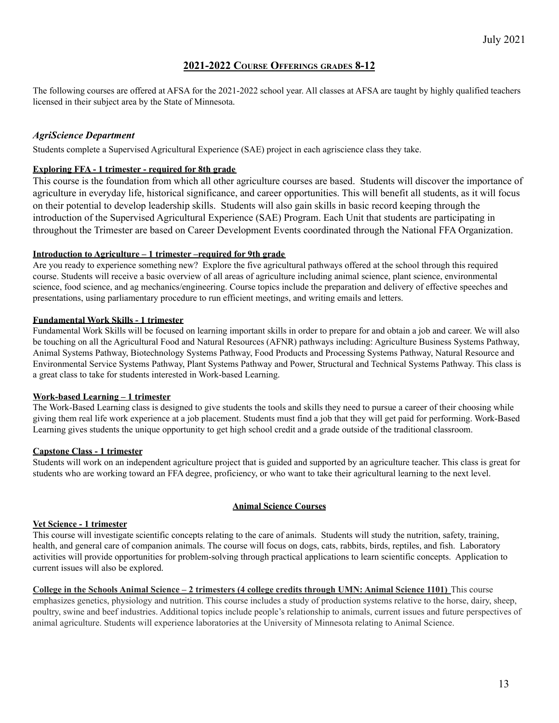# **2021-2022 COURSE OFFERINGS GRADES 8-12**

<span id="page-13-0"></span>The following courses are offered at AFSA for the 2021-2022 school year. All classes at AFSA are taught by highly qualified teachers licensed in their subject area by the State of Minnesota.

# <span id="page-13-1"></span>*AgriScience Department*

Students complete a Supervised Agricultural Experience (SAE) project in each agriscience class they take.

#### **Exploring FFA - 1 trimester - required for 8th grade**

This course is the foundation from which all other agriculture courses are based. Students will discover the importance of agriculture in everyday life, historical significance, and career opportunities. This will benefit all students, as it will focus on their potential to develop leadership skills. Students will also gain skills in basic record keeping through the introduction of the Supervised Agricultural Experience (SAE) Program. Each Unit that students are participating in throughout the Trimester are based on Career Development Events coordinated through the National FFA Organization.

#### **Introduction to Agriculture – 1 trimester –required for 9th grade**

Are you ready to experience something new? Explore the five agricultural pathways offered at the school through this required course. Students will receive a basic overview of all areas of agriculture including animal science, plant science, environmental science, food science, and ag mechanics/engineering. Course topics include the preparation and delivery of effective speeches and presentations, using parliamentary procedure to run efficient meetings, and writing emails and letters.

#### **Fundamental Work Skills - 1 trimester**

Fundamental Work Skills will be focused on learning important skills in order to prepare for and obtain a job and career. We will also be touching on all the Agricultural Food and Natural Resources (AFNR) pathways including: Agriculture Business Systems Pathway, Animal Systems Pathway, Biotechnology Systems Pathway, Food Products and Processing Systems Pathway, Natural Resource and Environmental Service Systems Pathway, Plant Systems Pathway and Power, Structural and Technical Systems Pathway. This class is a great class to take for students interested in Work-based Learning.

#### **Work-based Learning – 1 trimester**

The Work-Based Learning class is designed to give students the tools and skills they need to pursue a career of their choosing while giving them real life work experience at a job placement. Students must find a job that they will get paid for performing. Work-Based Learning gives students the unique opportunity to get high school credit and a grade outside of the traditional classroom.

#### **Capstone Class - 1 trimester**

Students will work on an independent agriculture project that is guided and supported by an agriculture teacher. This class is great for students who are working toward an FFA degree, proficiency, or who want to take their agricultural learning to the next level.

#### **Animal Science Courses**

#### **Vet Science - 1 trimester**

This course will investigate scientific concepts relating to the care of animals. Students will study the nutrition, safety, training, health, and general care of companion animals. The course will focus on dogs, cats, rabbits, birds, reptiles, and fish. Laboratory activities will provide opportunities for problem-solving through practical applications to learn scientific concepts. Application to current issues will also be explored.

College in the Schools Animal Science  $-2$  trimesters (4 college credits through UMN; Animal Science 1101) This course emphasizes genetics, physiology and nutrition. This course includes a study of production systems relative to the horse, dairy, sheep, poultry, swine and beef industries. Additional topics include people's relationship to animals, current issues and future perspectives of animal agriculture. Students will experience laboratories at the University of Minnesota relating to Animal Science.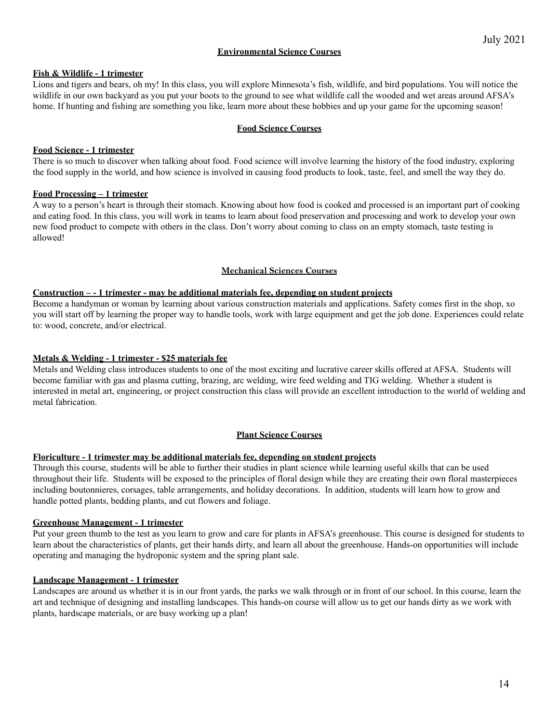#### **Environmental Science Courses**

#### **Fish & Wildlife - 1 trimester**

Lions and tigers and bears, oh my! In this class, you will explore Minnesota's fish, wildlife, and bird populations. You will notice the wildlife in our own backyard as you put your boots to the ground to see what wildlife call the wooded and wet areas around AFSA's home. If hunting and fishing are something you like, learn more about these hobbies and up your game for the upcoming season!

#### **Food Science Courses**

#### **Food Science - 1 trimester**

There is so much to discover when talking about food. Food science will involve learning the history of the food industry, exploring the food supply in the world, and how science is involved in causing food products to look, taste, feel, and smell the way they do.

#### **Food Processing – 1 trimester**

A way to a person's heart is through their stomach. Knowing about how food is cooked and processed is an important part of cooking and eating food. In this class, you will work in teams to learn about food preservation and processing and work to develop your own new food product to compete with others in the class. Don't worry about coming to class on an empty stomach, taste testing is allowed!

#### **Mechanical Sciences Courses**

#### **Construction – - 1 trimester - may be additional materials fee, depending on student projects**

Become a handyman or woman by learning about various construction materials and applications. Safety comes first in the shop, xo you will start off by learning the proper way to handle tools, work with large equipment and get the job done. Experiences could relate to: wood, concrete, and/or electrical.

#### **Metals & Welding - 1 trimester - \$25 materials fee**

Metals and Welding class introduces students to one of the most exciting and lucrative career skills offered at AFSA. Students will become familiar with gas and plasma cutting, brazing, arc welding, wire feed welding and TIG welding. Whether a student is interested in metal art, engineering, or project construction this class will provide an excellent introduction to the world of welding and metal fabrication.

#### **Plant Science Courses**

#### **Floriculture - 1 trimester may be additional materials fee, depending on student projects**

Through this course, students will be able to further their studies in plant science while learning useful skills that can be used throughout their life. Students will be exposed to the principles of floral design while they are creating their own floral masterpieces including boutonnieres, corsages, table arrangements, and holiday decorations. In addition, students will learn how to grow and handle potted plants, bedding plants, and cut flowers and foliage.

#### **Greenhouse Management - 1 trimester**

Put your green thumb to the test as you learn to grow and care for plants in AFSA's greenhouse. This course is designed for students to learn about the characteristics of plants, get their hands dirty, and learn all about the greenhouse. Hands-on opportunities will include operating and managing the hydroponic system and the spring plant sale.

#### **Landscape Management - 1 trimester**

Landscapes are around us whether it is in our front yards, the parks we walk through or in front of our school. In this course, learn the art and technique of designing and installing landscapes. This hands-on course will allow us to get our hands dirty as we work with plants, hardscape materials, or are busy working up a plan!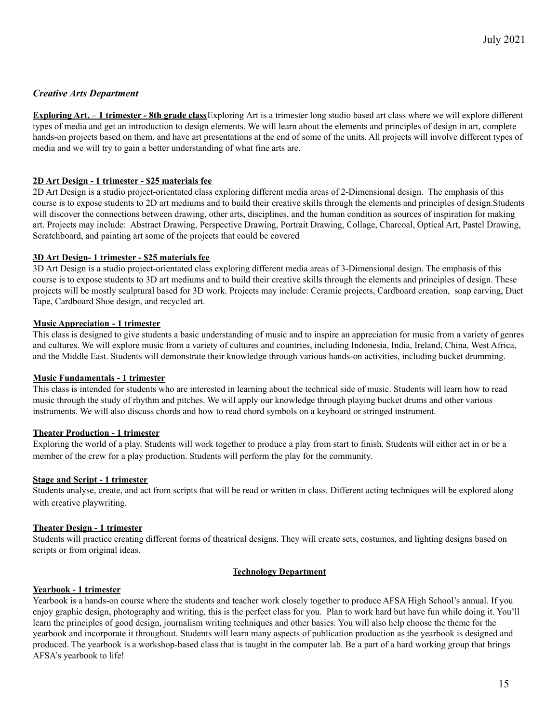# *Creative Arts Department*

**Exploring Art. – 1 trimester - 8th grade class**Exploring Art is a trimester long studio based art class where we will explore different types of media and get an introduction to design elements. We will learn about the elements and principles of design in art, complete hands-on projects based on them, and have art presentations at the end of some of the units. All projects will involve different types of media and we will try to gain a better understanding of what fine arts are.

#### **2D Art Design - 1 trimester - \$25 materials fee**

2D Art Design is a studio project-orientated class exploring different media areas of 2-Dimensional design. The emphasis of this course is to expose students to 2D art mediums and to build their creative skills through the elements and principles of design.Students will discover the connections between drawing, other arts, disciplines, and the human condition as sources of inspiration for making art. Projects may include: Abstract Drawing, Perspective Drawing, Portrait Drawing, Collage, Charcoal, Optical Art, Pastel Drawing, Scratchboard, and painting art some of the projects that could be covered

#### **3D Art Design- 1 trimester - \$25 materials fee**

3D Art Design is a studio project-orientated class exploring different media areas of 3-Dimensional design. The emphasis of this course is to expose students to 3D art mediums and to build their creative skills through the elements and principles of design. These projects will be mostly sculptural based for 3D work. Projects may include: Ceramic projects, Cardboard creation, soap carving, Duct Tape, Cardboard Shoe design, and recycled art.

#### **Music Appreciation - 1 trimester**

This class is designed to give students a basic understanding of music and to inspire an appreciation for music from a variety of genres and cultures. We will explore music from a variety of cultures and countries, including Indonesia, India, Ireland, China, West Africa, and the Middle East. Students will demonstrate their knowledge through various hands-on activities, including bucket drumming.

#### **Music Fundamentals - 1 trimester**

This class is intended for students who are interested in learning about the technical side of music. Students will learn how to read music through the study of rhythm and pitches. We will apply our knowledge through playing bucket drums and other various instruments. We will also discuss chords and how to read chord symbols on a keyboard or stringed instrument.

#### **Theater Production - 1 trimester**

Exploring the world of a play. Students will work together to produce a play from start to finish. Students will either act in or be a member of the crew for a play production. Students will perform the play for the community.

#### **Stage and Script - 1 trimester**

Students analyse, create, and act from scripts that will be read or written in class. Different acting techniques will be explored along with creative playwriting.

#### **Theater Design - 1 trimester**

Students will practice creating different forms of theatrical designs. They will create sets, costumes, and lighting designs based on scripts or from original ideas.

#### **Technology Department**

#### **Yearbook - 1 trimester**

Yearbook is a hands-on course where the students and teacher work closely together to produce AFSA High School's annual. If you enjoy graphic design, photography and writing, this is the perfect class for you. Plan to work hard but have fun while doing it. You'll learn the principles of good design, journalism writing techniques and other basics. You will also help choose the theme for the yearbook and incorporate it throughout. Students will learn many aspects of publication production as the yearbook is designed and produced. The yearbook is a workshop-based class that is taught in the computer lab. Be a part of a hard working group that brings AFSA's yearbook to life!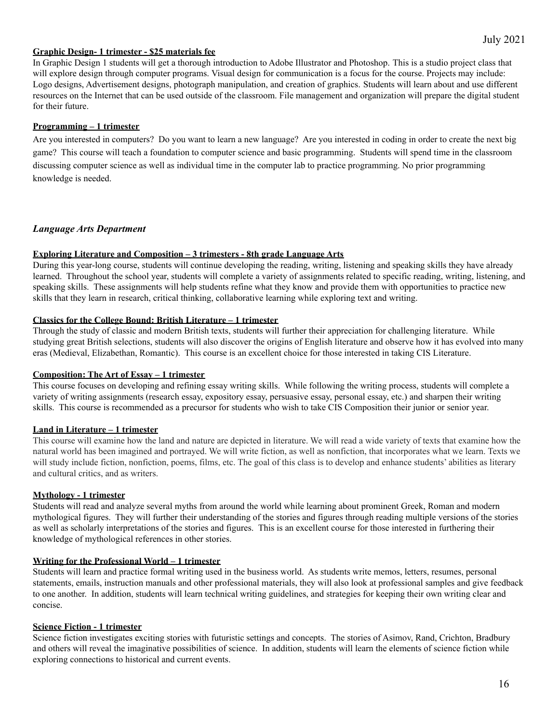#### **Graphic Design- 1 trimester - \$25 materials fee**

In Graphic Design 1 students will get a thorough introduction to Adobe Illustrator and Photoshop. This is a studio project class that will explore design through computer programs. Visual design for communication is a focus for the course. Projects may include: Logo designs, Advertisement designs, photograph manipulation, and creation of graphics. Students will learn about and use different resources on the Internet that can be used outside of the classroom. File management and organization will prepare the digital student for their future.

#### **Programming – 1 trimester**

Are you interested in computers? Do you want to learn a new language? Are you interested in coding in order to create the next big game? This course will teach a foundation to computer science and basic programming. Students will spend time in the classroom discussing computer science as well as individual time in the computer lab to practice programming. No prior programming knowledge is needed.

# <span id="page-16-0"></span>*Language Arts Department*

#### **Exploring Literature and Composition – 3 trimesters - 8th grade Language Arts**

During this year-long course, students will continue developing the reading, writing, listening and speaking skills they have already learned. Throughout the school year, students will complete a variety of assignments related to specific reading, writing, listening, and speaking skills. These assignments will help students refine what they know and provide them with opportunities to practice new skills that they learn in research, critical thinking, collaborative learning while exploring text and writing.

#### **Classics for the College Bound: British Literature – 1 trimester**

Through the study of classic and modern British texts, students will further their appreciation for challenging literature. While studying great British selections, students will also discover the origins of English literature and observe how it has evolved into many eras (Medieval, Elizabethan, Romantic). This course is an excellent choice for those interested in taking CIS Literature.

#### **Composition: The Art of Essay – 1 trimester**

This course focuses on developing and refining essay writing skills. While following the writing process, students will complete a variety of writing assignments (research essay, expository essay, persuasive essay, personal essay, etc.) and sharpen their writing skills. This course is recommended as a precursor for students who wish to take CIS Composition their junior or senior year.

# **Land in Literature – 1 trimester**

This course will examine how the land and nature are depicted in literature. We will read a wide variety of texts that examine how the natural world has been imagined and portrayed. We will write fiction, as well as nonfiction, that incorporates what we learn. Texts we will study include fiction, nonfiction, poems, films, etc. The goal of this class is to develop and enhance students' abilities as literary and cultural critics, and as writers.

#### **Mythology - 1 trimester**

Students will read and analyze several myths from around the world while learning about prominent Greek, Roman and modern mythological figures. They will further their understanding of the stories and figures through reading multiple versions of the stories as well as scholarly interpretations of the stories and figures. This is an excellent course for those interested in furthering their knowledge of mythological references in other stories.

#### **Writing for the Professional World – 1 trimester**

Students will learn and practice formal writing used in the business world. As students write memos, letters, resumes, personal statements, emails, instruction manuals and other professional materials, they will also look at professional samples and give feedback to one another. In addition, students will learn technical writing guidelines, and strategies for keeping their own writing clear and concise.

#### **Science Fiction - 1 trimester**

Science fiction investigates exciting stories with futuristic settings and concepts. The stories of Asimov, Rand, Crichton, Bradbury and others will reveal the imaginative possibilities of science. In addition, students will learn the elements of science fiction while exploring connections to historical and current events.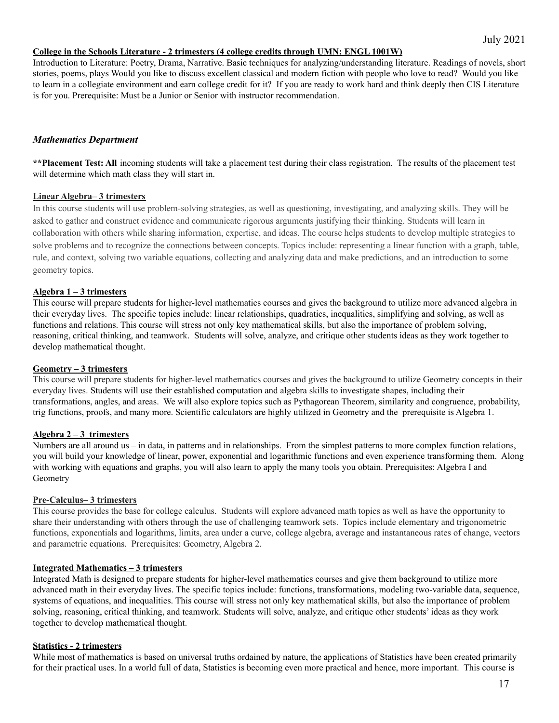#### **College in the Schools Literature - 2 trimesters (4 college credits through UMN: ENGL 1001W)**

Introduction to Literature: Poetry, Drama, Narrative. Basic techniques for analyzing/understanding literature. Readings of novels, short stories, poems, plays Would you like to discuss excellent classical and modern fiction with people who love to read? Would you like to learn in a collegiate environment and earn college credit for it? If you are ready to work hard and think deeply then CIS Literature is for you. Prerequisite: Must be a Junior or Senior with instructor recommendation.

#### <span id="page-17-0"></span>*Mathematics Department*

**\*\*Placement Test: All** incoming students will take a placement test during their class registration. The results of the placement test will determine which math class they will start in.

#### **Linear Algebra– 3 trimesters**

In this course students will use problem-solving strategies, as well as questioning, investigating, and analyzing skills. They will be asked to gather and construct evidence and communicate rigorous arguments justifying their thinking. Students will learn in collaboration with others while sharing information, expertise, and ideas. The course helps students to develop multiple strategies to solve problems and to recognize the connections between concepts. Topics include: representing a linear function with a graph, table, rule, and context, solving two variable equations, collecting and analyzing data and make predictions, and an introduction to some geometry topics.

#### **Algebra 1 – 3 trimesters**

This course will prepare students for higher-level mathematics courses and gives the background to utilize more advanced algebra in their everyday lives. The specific topics include: linear relationships, quadratics, inequalities, simplifying and solving, as well as functions and relations. This course will stress not only key mathematical skills, but also the importance of problem solving, reasoning, critical thinking, and teamwork. Students will solve, analyze, and critique other students ideas as they work together to develop mathematical thought.

#### **Geometry – 3 trimesters**

This course will prepare students for higher-level mathematics courses and gives the background to utilize Geometry concepts in their everyday lives. Students will use their established computation and algebra skills to investigate shapes, including their transformations, angles, and areas. We will also explore topics such as Pythagorean Theorem, similarity and congruence, probability, trig functions, proofs, and many more. Scientific calculators are highly utilized in Geometry and the prerequisite is Algebra 1.

#### **Algebra 2 – 3 trimesters**

Numbers are all around us – in data, in patterns and in relationships. From the simplest patterns to more complex function relations, you will build your knowledge of linear, power, exponential and logarithmic functions and even experience transforming them. Along with working with equations and graphs, you will also learn to apply the many tools you obtain. Prerequisites: Algebra I and Geometry

#### **Pre-Calculus– 3 trimesters**

This course provides the base for college calculus. Students will explore advanced math topics as well as have the opportunity to share their understanding with others through the use of challenging teamwork sets. Topics include elementary and trigonometric functions, exponentials and logarithms, limits, area under a curve, college algebra, average and instantaneous rates of change, vectors and parametric equations. Prerequisites: Geometry, Algebra 2.

#### **Integrated Mathematics – 3 trimesters**

Integrated Math is designed to prepare students for higher-level mathematics courses and give them background to utilize more advanced math in their everyday lives. The specific topics include: functions, transformations, modeling two-variable data, sequence, systems of equations, and inequalities. This course will stress not only key mathematical skills, but also the importance of problem solving, reasoning, critical thinking, and teamwork. Students will solve, analyze, and critique other students' ideas as they work together to develop mathematical thought.

#### **Statistics - 2 trimesters**

While most of mathematics is based on universal truths ordained by nature, the applications of Statistics have been created primarily for their practical uses. In a world full of data, Statistics is becoming even more practical and hence, more important. This course is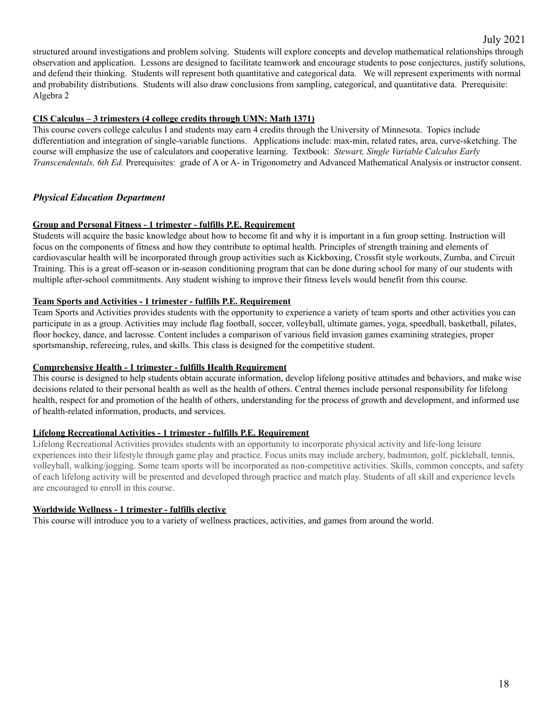structured around investigations and problem solving. Students will explore concepts and develop mathematical relationships through observation and application. Lessons are designed to facilitate teamwork and encourage students to pose conjectures, justify solutions, and defend their thinking. Students will represent both quantitative and categorical data. We will represent experiments with normal and probability distributions. Students will also draw conclusions from sampling, categorical, and quantitative data. Prerequisite: Algebra 2

#### **CIS Calculus – 3 trimesters (4 college credits through UMN: Math 1371)**

This course covers college calculus I and students may earn 4 credits through the University of Minnesota. Topics include differentiation and integration of single-variable functions. Applications include: max-min, related rates, area, curve-sketching. The course will emphasize the use of calculators and cooperative learning. Textbook: *Stewart, Single Variable Calculus Early Transcendentals, 6th Ed.* Prerequisites: grade of A or A- in Trigonometry and Advanced Mathematical Analysis or instructor consent.

# <span id="page-18-0"></span>*Physical Education Department*

#### **Group and Personal Fitness - 1 trimester - fulfills P.E. Requirement**

Students will acquire the basic knowledge about how to become fit and why it is important in a fun group setting. Instruction will focus on the components of fitness and how they contribute to optimal health. Principles of strength training and elements of cardiovascular health will be incorporated through group activities such as Kickboxing, Crossfit style workouts, Zumba, and Circuit Training. This is a great off-season or in-season conditioning program that can be done during school for many of our students with multiple after-school commitments. Any student wishing to improve their fitness levels would benefit from this course.

#### **Team Sports and Activities - 1 trimester - fulfills P.E. Requirement**

Team Sports and Activities provides students with the opportunity to experience a variety of team sports and other activities you can participate in as a group. Activities may include flag football, soccer, volleyball, ultimate games, yoga, speedball, basketball, pilates, floor hockey, dance, and lacrosse. Content includes a comparison of various field invasion games examining strategies, proper sportsmanship, refereeing, rules, and skills. This class is designed for the competitive student.

#### **Comprehensive Health - 1 trimester - fulfills Health Requirement**

This course is designed to help students obtain accurate information, develop lifelong positive attitudes and behaviors, and make wise decisions related to their personal health as well as the health of others. Central themes include personal responsibility for lifelong health, respect for and promotion of the health of others, understanding for the process of growth and development, and informed use of health-related information, products, and services.

#### **Lifelong Recreational Activities - 1 trimester - fulfills P.E. Requirement**

Lifelong Recreational Activities provides students with an opportunity to incorporate physical activity and life-long leisure experiences into their lifestyle through game play and practice. Focus units may include archery, badminton, golf, pickleball, tennis, volleyball, walking/jogging. Some team sports will be incorporated as non-competitive activities. Skills, common concepts, and safety of each lifelong activity will be presented and developed through practice and match play. Students of all skill and experience levels are encouraged to enroll in this course.

#### **Worldwide Wellness - 1 trimester - fulfills elective**

<span id="page-18-1"></span>This course will introduce you to a variety of wellness practices, activities, and games from around the world.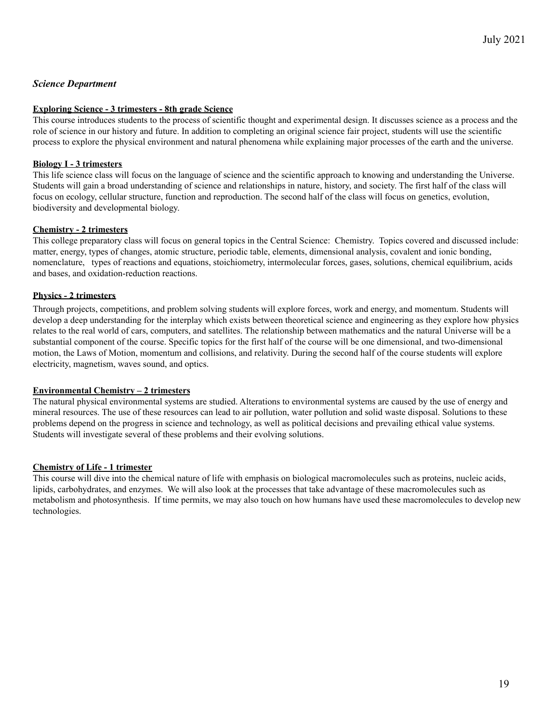# *Science Department*

#### **Exploring Science - 3 trimesters - 8th grade Science**

This course introduces students to the process of scientific thought and experimental design. It discusses science as a process and the role of science in our history and future. In addition to completing an original science fair project, students will use the scientific process to explore the physical environment and natural phenomena while explaining major processes of the earth and the universe.

#### **Biology I - 3 trimesters**

This life science class will focus on the language of science and the scientific approach to knowing and understanding the Universe. Students will gain a broad understanding of science and relationships in nature, history, and society. The first half of the class will focus on ecology, cellular structure, function and reproduction. The second half of the class will focus on genetics, evolution, biodiversity and developmental biology.

#### **Chemistry - 2 trimesters**

This college preparatory class will focus on general topics in the Central Science: Chemistry. Topics covered and discussed include: matter, energy, types of changes, atomic structure, periodic table, elements, dimensional analysis, covalent and ionic bonding, nomenclature, types of reactions and equations, stoichiometry, intermolecular forces, gases, solutions, chemical equilibrium, acids and bases, and oxidation-reduction reactions.

#### **Physics** *-* **2 trimesters**

Through projects, competitions, and problem solving students will explore forces, work and energy, and momentum. Students will develop a deep understanding for the interplay which exists between theoretical science and engineering as they explore how physics relates to the real world of cars, computers, and satellites. The relationship between mathematics and the natural Universe will be a substantial component of the course. Specific topics for the first half of the course will be one dimensional, and two-dimensional motion, the Laws of Motion, momentum and collisions, and relativity. During the second half of the course students will explore electricity, magnetism, waves sound, and optics.

#### **Environmental Chemistry – 2 trimesters**

The natural physical environmental systems are studied. Alterations to environmental systems are caused by the use of energy and mineral resources. The use of these resources can lead to air pollution, water pollution and solid waste disposal. Solutions to these problems depend on the progress in science and technology, as well as political decisions and prevailing ethical value systems. Students will investigate several of these problems and their evolving solutions.

#### **Chemistry of Life - 1 trimester**

This course will dive into the chemical nature of life with emphasis on biological macromolecules such as proteins, nucleic acids, lipids, carbohydrates, and enzymes. We will also look at the processes that take advantage of these macromolecules such as metabolism and photosynthesis. If time permits, we may also touch on how humans have used these macromolecules to develop new technologies.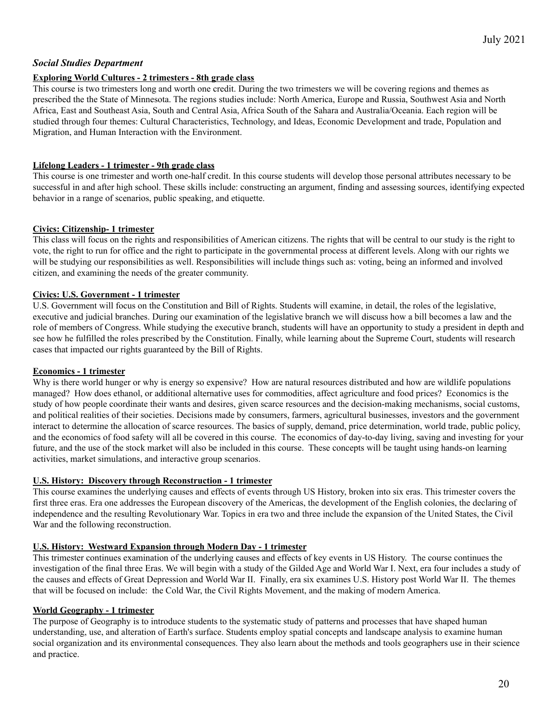# <span id="page-20-0"></span>*Social Studies Department*

#### **Exploring World Cultures - 2 trimesters - 8th grade class**

This course is two trimesters long and worth one credit. During the two trimesters we will be covering regions and themes as prescribed the the State of Minnesota. The regions studies include: North America, Europe and Russia, Southwest Asia and North Africa, East and Southeast Asia, South and Central Asia, Africa South of the Sahara and Australia/Oceania. Each region will be studied through four themes: Cultural Characteristics, Technology, and Ideas, Economic Development and trade, Population and Migration, and Human Interaction with the Environment.

#### **Lifelong Leaders - 1 trimester - 9th grade class**

This course is one trimester and worth one-half credit. In this course students will develop those personal attributes necessary to be successful in and after high school. These skills include: constructing an argument, finding and assessing sources, identifying expected behavior in a range of scenarios, public speaking, and etiquette.

#### **Civics: Citizenship- 1 trimester**

This class will focus on the rights and responsibilities of American citizens. The rights that will be central to our study is the right to vote, the right to run for office and the right to participate in the governmental process at different levels. Along with our rights we will be studying our responsibilities as well. Responsibilities will include things such as: voting, being an informed and involved citizen, and examining the needs of the greater community.

#### **Civics: U.S. Government - 1 trimester**

U.S. Government will focus on the Constitution and Bill of Rights. Students will examine, in detail, the roles of the legislative, executive and judicial branches. During our examination of the legislative branch we will discuss how a bill becomes a law and the role of members of Congress. While studying the executive branch, students will have an opportunity to study a president in depth and see how he fulfilled the roles prescribed by the Constitution. Finally, while learning about the Supreme Court, students will research cases that impacted our rights guaranteed by the Bill of Rights.

#### **Economics - 1 trimester**

Why is there world hunger or why is energy so expensive? How are natural resources distributed and how are wildlife populations managed? How does ethanol, or additional alternative uses for commodities, affect agriculture and food prices? Economics is the study of how people coordinate their wants and desires, given scarce resources and the decision-making mechanisms, social customs, and political realities of their societies. Decisions made by consumers, farmers, agricultural businesses, investors and the government interact to determine the allocation of scarce resources. The basics of supply, demand, price determination, world trade, public policy, and the economics of food safety will all be covered in this course. The economics of day-to-day living, saving and investing for your future, and the use of the stock market will also be included in this course. These concepts will be taught using hands-on learning activities, market simulations, and interactive group scenarios.

#### **U.S. History: Discovery through Reconstruction - 1 trimester**

This course examines the underlying causes and effects of events through US History, broken into six eras. This trimester covers the first three eras. Era one addresses the European discovery of the Americas, the development of the English colonies, the declaring of independence and the resulting Revolutionary War. Topics in era two and three include the expansion of the United States, the Civil War and the following reconstruction.

# **U.S. History: Westward Expansion through Modern Day - 1 trimester**

This trimester continues examination of the underlying causes and effects of key events in US History. The course continues the investigation of the final three Eras. We will begin with a study of the Gilded Age and World War I. Next, era four includes a study of the causes and effects of Great Depression and World War II. Finally, era six examines U.S. History post World War II. The themes that will be focused on include: the Cold War, the Civil Rights Movement, and the making of modern America.

#### **World Geography - 1 trimester**

The purpose of Geography is to introduce students to the systematic study of patterns and processes that have shaped human understanding, use, and alteration of Earth's surface. Students employ spatial concepts and landscape analysis to examine human social organization and its environmental consequences. They also learn about the methods and tools geographers use in their science and practice.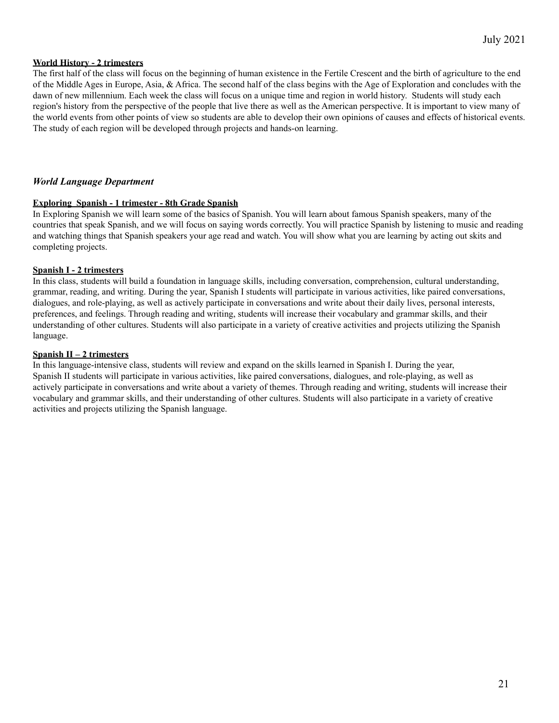#### **World History - 2 trimesters**

The first half of the class will focus on the beginning of human existence in the Fertile Crescent and the birth of agriculture to the end of the Middle Ages in Europe, Asia, & Africa. The second half of the class begins with the Age of Exploration and concludes with the dawn of new millennium. Each week the class will focus on a unique time and region in world history. Students will study each region's history from the perspective of the people that live there as well as the American perspective. It is important to view many of the world events from other points of view so students are able to develop their own opinions of causes and effects of historical events. The study of each region will be developed through projects and hands-on learning.

#### <span id="page-21-0"></span>*World Language Department*

#### **Exploring Spanish - 1 trimester - 8th Grade Spanish**

In Exploring Spanish we will learn some of the basics of Spanish. You will learn about famous Spanish speakers, many of the countries that speak Spanish, and we will focus on saying words correctly. You will practice Spanish by listening to music and reading and watching things that Spanish speakers your age read and watch. You will show what you are learning by acting out skits and completing projects.

#### **Spanish I - 2 trimesters**

In this class, students will build a foundation in language skills, including conversation, comprehension, cultural understanding, grammar, reading, and writing. During the year, Spanish I students will participate in various activities, like paired conversations, dialogues, and role-playing, as well as actively participate in conversations and write about their daily lives, personal interests, preferences, and feelings. Through reading and writing, students will increase their vocabulary and grammar skills, and their understanding of other cultures. Students will also participate in a variety of creative activities and projects utilizing the Spanish language.

#### **Spanish II – 2 trimesters**

In this language-intensive class, students will review and expand on the skills learned in Spanish I. During the year, Spanish II students will participate in various activities, like paired conversations, dialogues, and role-playing, as well as actively participate in conversations and write about a variety of themes. Through reading and writing, students will increase their vocabulary and grammar skills, and their understanding of other cultures. Students will also participate in a variety of creative activities and projects utilizing the Spanish language.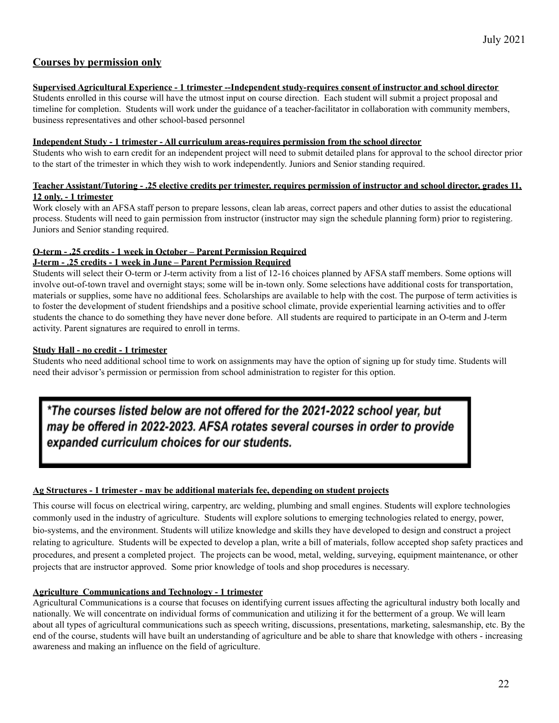# **Courses by permission only**

# **Supervised Agricultural Experience - 1 trimester --Independent study-requires consent of instructor and school director**

Students enrolled in this course will have the utmost input on course direction. Each student will submit a project proposal and timeline for completion. Students will work under the guidance of a teacher-facilitator in collaboration with community members, business representatives and other school-based personnel

#### **Independent Study - 1 trimester - All curriculum areas-requires permission from the school director**

Students who wish to earn credit for an independent project will need to submit detailed plans for approval to the school director prior to the start of the trimester in which they wish to work independently. Juniors and Senior standing required.

#### Teacher Assistant/Tutoring - .25 elective credits per trimester, requires permission of instructor and school director, grades 11, **12 only. - 1 trimester**

Work closely with an AFSA staff person to prepare lessons, clean lab areas, correct papers and other duties to assist the educational process. Students will need to gain permission from instructor (instructor may sign the schedule planning form) prior to registering. Juniors and Senior standing required.

# **O-term - .25 credits - 1 week in October – Parent Permission Required**

# **J-term - .25 credits - 1 week in June – Parent Permission Required**

Students will select their O-term or J-term activity from a list of 12-16 choices planned by AFSA staff members. Some options will involve out-of-town travel and overnight stays; some will be in-town only. Some selections have additional costs for transportation, materials or supplies, some have no additional fees. Scholarships are available to help with the cost. The purpose of term activities is to foster the development of student friendships and a positive school climate, provide experiential learning activities and to offer students the chance to do something they have never done before. All students are required to participate in an O-term and J-term activity. Parent signatures are required to enroll in terms.

# **Study Hall - no credit - 1 trimester**

Students who need additional school time to work on assignments may have the option of signing up for study time. Students will need their advisor's permission or permission from school administration to register for this option.

\*The courses listed below are not offered for the 2021-2022 school year, but may be offered in 2022-2023. AFSA rotates several courses in order to provide expanded curriculum choices for our students.

# **Ag Structures - 1 trimester - may be additional materials fee, depending on student projects**

This course will focus on electrical wiring, carpentry, arc welding, plumbing and small engines. Students will explore technologies commonly used in the industry of agriculture. Students will explore solutions to emerging technologies related to energy, power, bio-systems, and the environment. Students will utilize knowledge and skills they have developed to design and construct a project relating to agriculture. Students will be expected to develop a plan, write a bill of materials, follow accepted shop safety practices and procedures, and present a completed project. The projects can be wood, metal, welding, surveying, equipment maintenance, or other projects that are instructor approved. Some prior knowledge of tools and shop procedures is necessary.

# **Agriculture Communications and Technology - 1 trimester**

Agricultural Communications is a course that focuses on identifying current issues affecting the agricultural industry both locally and nationally. We will concentrate on individual forms of communication and utilizing it for the betterment of a group. We will learn about all types of agricultural communications such as speech writing, discussions, presentations, marketing, salesmanship, etc. By the end of the course, students will have built an understanding of agriculture and be able to share that knowledge with others - increasing awareness and making an influence on the field of agriculture.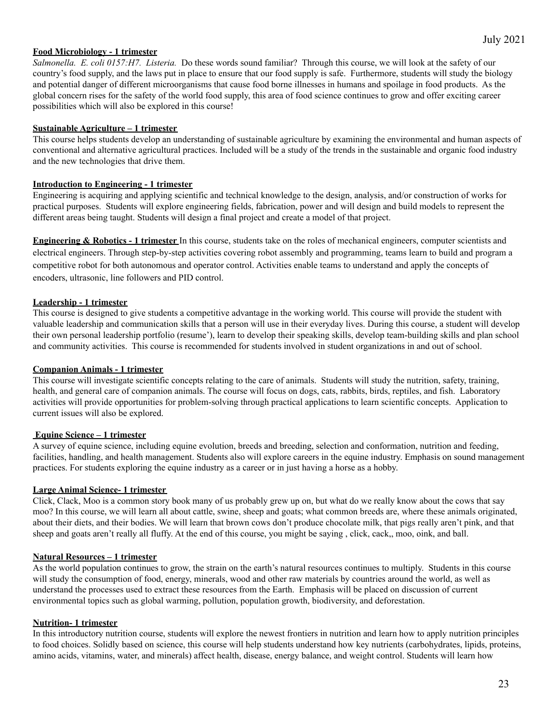#### **Food Microbiology - 1 trimester**

July 2021

*Salmonella. E. coli 0157:H7. Listeria.* Do these words sound familiar? Through this course, we will look at the safety of our country's food supply, and the laws put in place to ensure that our food supply is safe. Furthermore, students will study the biology and potential danger of different microorganisms that cause food borne illnesses in humans and spoilage in food products. As the global concern rises for the safety of the world food supply, this area of food science continues to grow and offer exciting career possibilities which will also be explored in this course!

#### **Sustainable Agriculture – 1 trimester**

This course helps students develop an understanding of sustainable agriculture by examining the environmental and human aspects of conventional and alternative agricultural practices. Included will be a study of the trends in the sustainable and organic food industry and the new technologies that drive them.

#### **Introduction to Engineering - 1 trimester**

Engineering is acquiring and applying scientific and technical knowledge to the design, analysis, and/or construction of works for practical purposes. Students will explore engineering fields, fabrication, power and will design and build models to represent the different areas being taught. Students will design a final project and create a model of that project.

**Engineering & Robotics - 1 trimester** In this course, students take on the roles of mechanical engineers, computer scientists and electrical engineers. Through step-by-step activities covering robot assembly and programming, teams learn to build and program a competitive robot for both autonomous and operator control. Activities enable teams to understand and apply the concepts of encoders, ultrasonic, line followers and PID control.

#### **Leadership - 1 trimester**

This course is designed to give students a competitive advantage in the working world. This course will provide the student with valuable leadership and communication skills that a person will use in their everyday lives. During this course, a student will develop their own personal leadership portfolio (resume'), learn to develop their speaking skills, develop team-building skills and plan school and community activities. This course is recommended for students involved in student organizations in and out of school.

#### **Companion Animals - 1 trimester**

This course will investigate scientific concepts relating to the care of animals. Students will study the nutrition, safety, training, health, and general care of companion animals. The course will focus on dogs, cats, rabbits, birds, reptiles, and fish. Laboratory activities will provide opportunities for problem-solving through practical applications to learn scientific concepts. Application to current issues will also be explored.

#### **Equine Science – 1 trimester**

A survey of equine science, including equine evolution, breeds and breeding, selection and conformation, nutrition and feeding, facilities, handling, and health management. Students also will explore careers in the equine industry. Emphasis on sound management practices. For students exploring the equine industry as a career or in just having a horse as a hobby.

#### **Large Animal Science- 1 trimester**

Click, Clack, Moo is a common story book many of us probably grew up on, but what do we really know about the cows that say moo? In this course, we will learn all about cattle, swine, sheep and goats; what common breeds are, where these animals originated, about their diets, and their bodies. We will learn that brown cows don't produce chocolate milk, that pigs really aren't pink, and that sheep and goats aren't really all fluffy. At the end of this course, you might be saying , click, cack,, moo, oink, and ball.

#### **Natural Resources – 1 trimester**

As the world population continues to grow, the strain on the earth's natural resources continues to multiply. Students in this course will study the consumption of food, energy, minerals, wood and other raw materials by countries around the world, as well as understand the processes used to extract these resources from the Earth. Emphasis will be placed on discussion of current environmental topics such as global warming, pollution, population growth, biodiversity, and deforestation.

#### **Nutrition- 1 trimester**

In this introductory nutrition course, students will explore the newest frontiers in nutrition and learn how to apply nutrition principles to food choices. Solidly based on science, this course will help students understand how key nutrients (carbohydrates, lipids, proteins, amino acids, vitamins, water, and minerals) affect health, disease, energy balance, and weight control. Students will learn how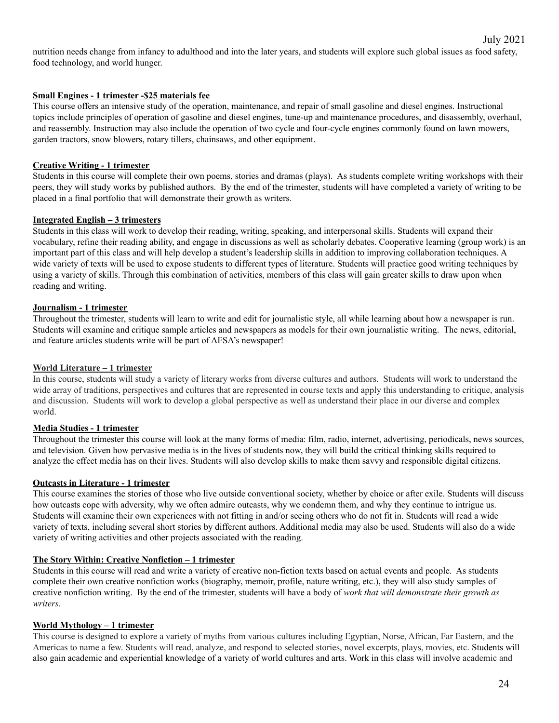nutrition needs change from infancy to adulthood and into the later years, and students will explore such global issues as food safety, food technology, and world hunger.

#### **Small Engines - 1 trimester -\$25 materials fee**

This course offers an intensive study of the operation, maintenance, and repair of small gasoline and diesel engines. Instructional topics include principles of operation of gasoline and diesel engines, tune-up and maintenance procedures, and disassembly, overhaul, and reassembly. Instruction may also include the operation of two cycle and four-cycle engines commonly found on lawn mowers, garden tractors, snow blowers, rotary tillers, chainsaws, and other equipment.

#### **Creative Writing - 1 trimester**

Students in this course will complete their own poems, stories and dramas (plays). As students complete writing workshops with their peers, they will study works by published authors. By the end of the trimester, students will have completed a variety of writing to be placed in a final portfolio that will demonstrate their growth as writers.

#### **Integrated English – 3 trimesters**

Students in this class will work to develop their reading, writing, speaking, and interpersonal skills. Students will expand their vocabulary, refine their reading ability, and engage in discussions as well as scholarly debates. Cooperative learning (group work) is an important part of this class and will help develop a student's leadership skills in addition to improving collaboration techniques. A wide variety of texts will be used to expose students to different types of literature. Students will practice good writing techniques by using a variety of skills. Through this combination of activities, members of this class will gain greater skills to draw upon when reading and writing.

#### **Journalism - 1 trimester**

Throughout the trimester, students will learn to write and edit for journalistic style, all while learning about how a newspaper is run. Students will examine and critique sample articles and newspapers as models for their own journalistic writing. The news, editorial, and feature articles students write will be part of AFSA's newspaper!

#### **World Literature – 1 trimester**

In this course, students will study a variety of literary works from diverse cultures and authors. Students will work to understand the wide array of traditions, perspectives and cultures that are represented in course texts and apply this understanding to critique, analysis and discussion. Students will work to develop a global perspective as well as understand their place in our diverse and complex world.

# **Media Studies - 1 trimester**

Throughout the trimester this course will look at the many forms of media: film, radio, internet, advertising, periodicals, news sources, and television. Given how pervasive media is in the lives of students now, they will build the critical thinking skills required to analyze the effect media has on their lives. Students will also develop skills to make them savvy and responsible digital citizens.

#### **Outcasts in Literature - 1 trimester**

This course examines the stories of those who live outside conventional society, whether by choice or after exile. Students will discuss how outcasts cope with adversity, why we often admire outcasts, why we condemn them, and why they continue to intrigue us. Students will examine their own experiences with not fitting in and/or seeing others who do not fit in. Students will read a wide variety of texts, including several short stories by different authors. Additional media may also be used. Students will also do a wide variety of writing activities and other projects associated with the reading.

# **The Story Within: Creative Nonfiction – 1 trimester**

Students in this course will read and write a variety of creative non-fiction texts based on actual events and people. As students complete their own creative nonfiction works (biography, memoir, profile, nature writing, etc.), they will also study samples of creative nonfiction writing. By the end of the trimester, students will have a body of *work that will demonstrate their growth as writers.*

#### **World Mythology – 1 trimester**

This course is designed to explore a variety of myths from various cultures including Egyptian, Norse, African, Far Eastern, and the Americas to name a few. Students will read, analyze, and respond to selected stories, novel excerpts, plays, movies, etc. Students will also gain academic and experiential knowledge of a variety of world cultures and arts. Work in this class will involve academic and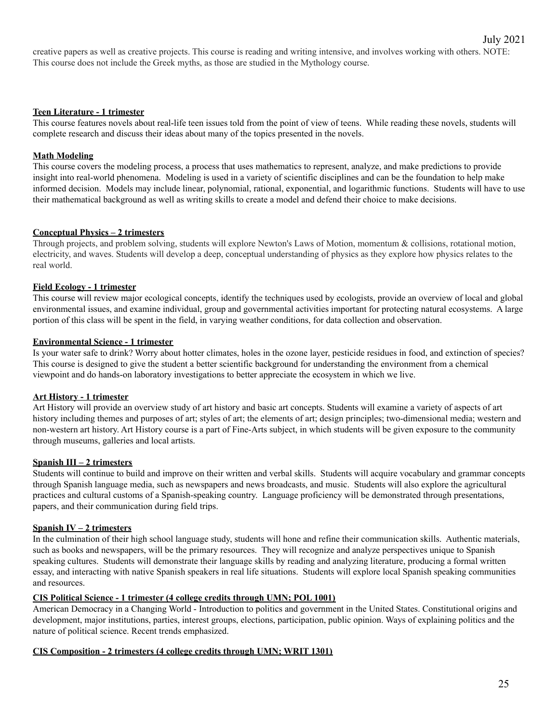creative papers as well as creative projects. This course is reading and writing intensive, and involves working with others. NOTE: This course does not include the Greek myths, as those are studied in the Mythology course.

#### **Teen Literature - 1 trimester**

This course features novels about real-life teen issues told from the point of view of teens. While reading these novels, students will complete research and discuss their ideas about many of the topics presented in the novels.

#### **Math Modeling**

This course covers the modeling process, a process that uses mathematics to represent, analyze, and make predictions to provide insight into real-world phenomena. Modeling is used in a variety of scientific disciplines and can be the foundation to help make informed decision. Models may include linear, polynomial, rational, exponential, and logarithmic functions. Students will have to use their mathematical background as well as writing skills to create a model and defend their choice to make decisions.

#### **Conceptual Physics – 2 trimesters**

Through projects, and problem solving, students will explore Newton's Laws of Motion, momentum & collisions, rotational motion, electricity, and waves. Students will develop a deep, conceptual understanding of physics as they explore how physics relates to the real world.

#### **Field Ecology - 1 trimester**

This course will review major ecological concepts, identify the techniques used by ecologists, provide an overview of local and global environmental issues, and examine individual, group and governmental activities important for protecting natural ecosystems. A large portion of this class will be spent in the field, in varying weather conditions, for data collection and observation.

#### **Environmental Science - 1 trimester**

Is your water safe to drink? Worry about hotter climates, holes in the ozone layer, pesticide residues in food, and extinction of species? This course is designed to give the student a better scientific background for understanding the environment from a chemical viewpoint and do hands-on laboratory investigations to better appreciate the ecosystem in which we live.

#### **Art History - 1 trimester**

Art History will provide an overview study of art history and basic art concepts. Students will examine a variety of aspects of art history including themes and purposes of art; styles of art; the elements of art; design principles; two-dimensional media; western and non-western art history. Art History course is a part of Fine-Arts subject, in which students will be given exposure to the community through museums, galleries and local artists.

#### **Spanish III – 2 trimesters**

Students will continue to build and improve on their written and verbal skills. Students will acquire vocabulary and grammar concepts through Spanish language media, such as newspapers and news broadcasts, and music. Students will also explore the agricultural practices and cultural customs of a Spanish-speaking country. Language proficiency will be demonstrated through presentations, papers, and their communication during field trips.

#### **Spanish IV – 2 trimesters**

In the culmination of their high school language study, students will hone and refine their communication skills. Authentic materials, such as books and newspapers, will be the primary resources. They will recognize and analyze perspectives unique to Spanish speaking cultures. Students will demonstrate their language skills by reading and analyzing literature, producing a formal written essay, and interacting with native Spanish speakers in real life situations. Students will explore local Spanish speaking communities and resources.

#### **CIS Political Science - 1 trimester (4 college credits through UMN; POL 1001)**

American Democracy in a Changing World - Introduction to politics and government in the United States. Constitutional origins and development, major institutions, parties, interest groups, elections, participation, public opinion. Ways of explaining politics and the nature of political science. Recent trends emphasized.

#### **CIS Composition - 2 trimesters (4 college credits through UMN; WRIT 1301)**

July 2021